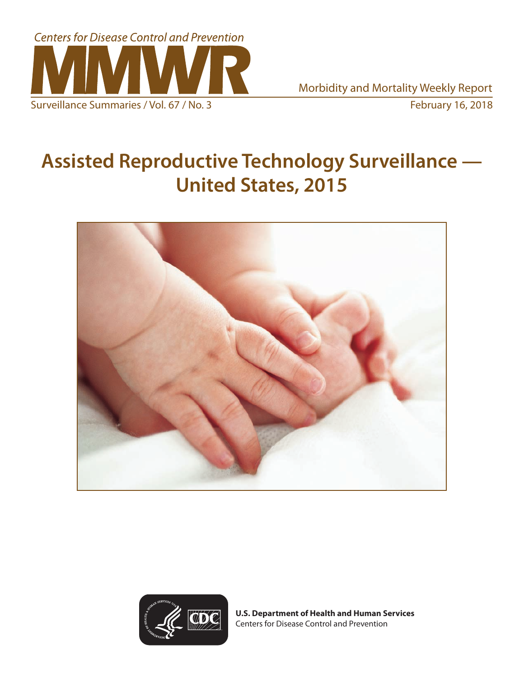

Surveillance Summaries / Vol. 67 / No. 3 February 16, 2018

# **Assisted Reproductive Technology Surveillance — United States, 2015**





**U.S. Department of Health and Human Services** Centers for Disease Control and Prevention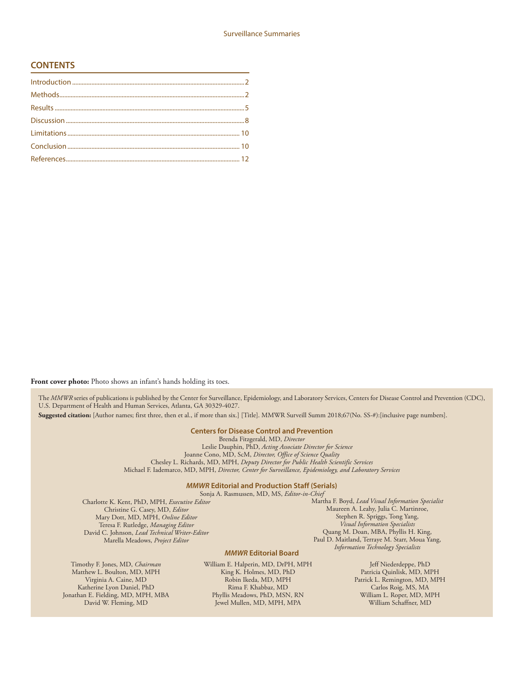#### **CONTENTS**

Front cover photo: Photo shows an infant's hands holding its toes.

The *MMWR* series of publications is published by the Center for Surveillance, Epidemiology, and Laboratory Services, Centers for Disease Control and Prevention (CDC), U.S. Department of Health and Human Services, Atlanta, GA 30329-4027.

**Suggested citation:** [Author names; first three, then et al., if more than six.] [Title]. MMWR Surveill Summ 2018;67(No. SS-#):[inclusive page numbers].

#### **Centers for Disease Control and Prevention**

Brenda Fitzgerald, MD, *Director*

Leslie Dauphin, PhD, *Acting Associate Director for Science*

Joanne Cono, MD, ScM, *Director, Office of Science Quality*  Chesley L. Richards, MD, MPH, *Deputy Director for Public Health Scientific Services*

Michael F. Iademarco, MD, MPH, *Director, Center for Surveillance, Epidemiology, and Laboratory Services*

#### *MMWR* **Editorial and Production Staff (Serials)** Sonja A. Rasmussen, MD, MS, *Editor-in-Chief*

Charlotte K. Kent, PhD, MPH, *Executive Editor* Christine G. Casey, MD, *Editor* Mary Dott, MD, MPH, *Online Editor* Teresa F. Rutledge, *Managing Editor* David C. Johnson, *Lead Technical Writer-Editor* Marella Meadows, *Project Editor*

Martha F. Boyd, *Lead Visual Information Specialist* Maureen A. Leahy, Julia C. Martinroe, Stephen R. Spriggs, Tong Yang, *Visual Information Specialists* Quang M. Doan, MBA, Phyllis H. King, Paul D. Maitland, Terraye M. Starr, Moua Yang, *Information Technology Specialists MMWR* **Editorial Board**

Timothy F. Jones, MD, *Chairman* Matthew L. Boulton, MD, MPH Virginia A. Caine, MD Katherine Lyon Daniel, PhD Jonathan E. Fielding, MD, MPH, MBA David W. Fleming, MD

William E. Halperin, MD, DrPH, MPH King K. Holmes, MD, PhD Robin Ikeda, MD, MPH Rima F. Khabbaz, MD Phyllis Meadows, PhD, MSN, RN Jewel Mullen, MD, MPH, MPA

Jeff Niederdeppe, PhD Patricia Quinlisk, MD, MPH Patrick L. Remington, MD, MPH Carlos Roig, MS, MA William L. Roper, MD, MPH William Schaffner, MD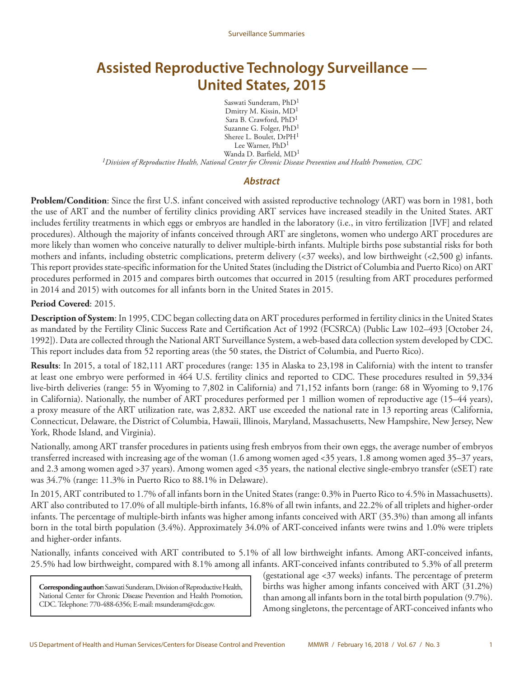# **Assisted Reproductive Technology Surveillance — United States, 2015**

Saswati Sunderam, PhD1 Dmitry M. Kissin, MD1 Sara B. Crawford, PhD1 Suzanne G. Folger, PhD<sup>1</sup> Sheree L. Boulet, DrPH<sup>1</sup> Lee Warner, PhD<sup>1</sup> Wanda D. Barfield, MD1 *1Division of Reproductive Health, National Center for Chronic Disease Prevention and Health Promotion, CDC*

#### *Abstract*

**Problem/Condition**: Since the first U.S. infant conceived with assisted reproductive technology (ART) was born in 1981, both the use of ART and the number of fertility clinics providing ART services have increased steadily in the United States. ART includes fertility treatments in which eggs or embryos are handled in the laboratory (i.e., in vitro fertilization [IVF] and related procedures). Although the majority of infants conceived through ART are singletons, women who undergo ART procedures are more likely than women who conceive naturally to deliver multiple-birth infants. Multiple births pose substantial risks for both mothers and infants, including obstetric complications, preterm delivery (<37 weeks), and low birthweight (<2,500 g) infants. This report provides state-specific information for the United States (including the District of Columbia and Puerto Rico) on ART procedures performed in 2015 and compares birth outcomes that occurred in 2015 (resulting from ART procedures performed in 2014 and 2015) with outcomes for all infants born in the United States in 2015.

#### **Period Covered**: 2015.

**Description of System**: In 1995, CDC began collecting data on ART procedures performed in fertility clinics in the United States as mandated by the Fertility Clinic Success Rate and Certification Act of 1992 (FCSRCA) (Public Law 102–493 [October 24, 1992]). Data are collected through the National ART Surveillance System, a web-based data collection system developed by CDC. This report includes data from 52 reporting areas (the 50 states, the District of Columbia, and Puerto Rico).

**Results**: In 2015, a total of 182,111 ART procedures (range: 135 in Alaska to 23,198 in California) with the intent to transfer at least one embryo were performed in 464 U.S. fertility clinics and reported to CDC. These procedures resulted in 59,334 live-birth deliveries (range: 55 in Wyoming to 7,802 in California) and 71,152 infants born (range: 68 in Wyoming to 9,176 in California). Nationally, the number of ART procedures performed per 1 million women of reproductive age (15–44 years), a proxy measure of the ART utilization rate, was 2,832. ART use exceeded the national rate in 13 reporting areas (California, Connecticut, Delaware, the District of Columbia, Hawaii, Illinois, Maryland, Massachusetts, New Hampshire, New Jersey, New York, Rhode Island, and Virginia).

Nationally, among ART transfer procedures in patients using fresh embryos from their own eggs, the average number of embryos transferred increased with increasing age of the woman (1.6 among women aged <35 years, 1.8 among women aged 35–37 years, and 2.3 among women aged >37 years). Among women aged <35 years, the national elective single-embryo transfer (eSET) rate was 34.7% (range: 11.3% in Puerto Rico to 88.1% in Delaware).

In 2015, ART contributed to 1.7% of all infants born in the United States (range: 0.3% in Puerto Rico to 4.5% in Massachusetts). ART also contributed to 17.0% of all multiple-birth infants, 16.8% of all twin infants, and 22.2% of all triplets and higher-order infants. The percentage of multiple-birth infants was higher among infants conceived with ART (35.3%) than among all infants born in the total birth population (3.4%). Approximately 34.0% of ART-conceived infants were twins and 1.0% were triplets and higher-order infants.

Nationally, infants conceived with ART contributed to 5.1% of all low birthweight infants. Among ART-conceived infants, 25.5% had low birthweight, compared with 8.1% among all infants. ART-conceived infants contributed to 5.3% of all preterm

**Corresponding author:** Saswati Sunderam, Division of Reproductive Health, National Center for Chronic Disease Prevention and Health Promotion, CDC. Telephone: 770-488-6356; E-mail: [msunderam@cdc.gov](mailto:msunderam@cdc.gov).

(gestational age <37 weeks) infants. The percentage of preterm births was higher among infants conceived with ART (31.2%) than among all infants born in the total birth population (9.7%). Among singletons, the percentage of ART-conceived infants who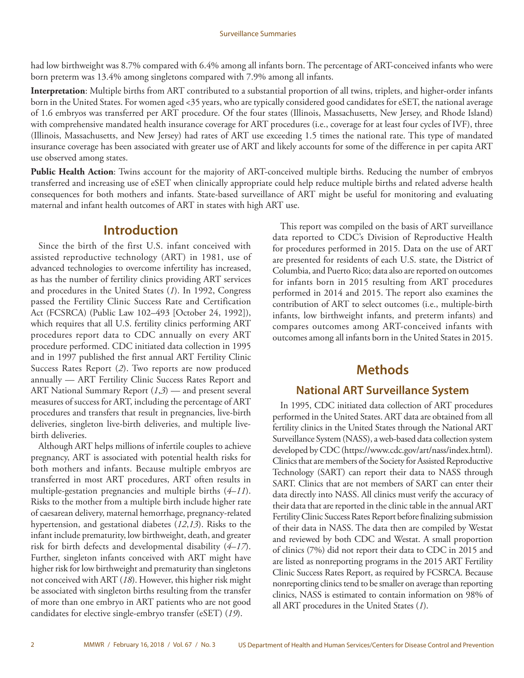<span id="page-3-0"></span>had low birthweight was 8.7% compared with 6.4% among all infants born. The percentage of ART-conceived infants who were born preterm was 13.4% among singletons compared with 7.9% among all infants.

**Interpretation**: Multiple births from ART contributed to a substantial proportion of all twins, triplets, and higher-order infants born in the United States. For women aged <35 years, who are typically considered good candidates for eSET, the national average of 1.6 embryos was transferred per ART procedure. Of the four states (Illinois, Massachusetts, New Jersey, and Rhode Island) with comprehensive mandated health insurance coverage for ART procedures (i.e., coverage for at least four cycles of IVF), three (Illinois, Massachusetts, and New Jersey) had rates of ART use exceeding 1.5 times the national rate. This type of mandated insurance coverage has been associated with greater use of ART and likely accounts for some of the difference in per capita ART use observed among states.

**Public Health Action**: Twins account for the majority of ART-conceived multiple births. Reducing the number of embryos transferred and increasing use of eSET when clinically appropriate could help reduce multiple births and related adverse health consequences for both mothers and infants. State-based surveillance of ART might be useful for monitoring and evaluating maternal and infant health outcomes of ART in states with high ART use.

# **Introduction**

Since the birth of the first U.S. infant conceived with assisted reproductive technology (ART) in 1981, use of advanced technologies to overcome infertility has increased, as has the number of fertility clinics providing ART services and procedures in the United States (*1*). In 1992, Congress passed the Fertility Clinic Success Rate and Certification Act (FCSRCA) (Public Law 102–493 [October 24, 1992]), which requires that all U.S. fertility clinics performing ART procedures report data to CDC annually on every ART procedure performed. CDC initiated data collection in 1995 and in 1997 published the first annual ART Fertility Clinic Success Rates Report (*2*). Two reports are now produced annually — ART Fertility Clinic Success Rates Report and ART National Summary Report (*1*,*3*) — and present several measures of success for ART, including the percentage of ART procedures and transfers that result in pregnancies, live-birth deliveries, singleton live-birth deliveries, and multiple livebirth deliveries.

Although ART helps millions of infertile couples to achieve pregnancy, ART is associated with potential health risks for both mothers and infants. Because multiple embryos are transferred in most ART procedures, ART often results in multiple-gestation pregnancies and multiple births (*4*–*11*). Risks to the mother from a multiple birth include higher rate of caesarean delivery, maternal hemorrhage, pregnancy-related hypertension, and gestational diabetes (*12*,*13*). Risks to the infant include prematurity, low birthweight, death, and greater risk for birth defects and developmental disability (*4*–*17*). Further, singleton infants conceived with ART might have higher risk for low birthweight and prematurity than singletons not conceived with ART (*18*). However, this higher risk might be associated with singleton births resulting from the transfer of more than one embryo in ART patients who are not good candidates for elective single-embryo transfer (eSET) (*19*).

This report was compiled on the basis of ART surveillance data reported to CDC's Division of Reproductive Health for procedures performed in 2015. Data on the use of ART are presented for residents of each U.S. state, the District of Columbia, and Puerto Rico; data also are reported on outcomes for infants born in 2015 resulting from ART procedures performed in 2014 and 2015. The report also examines the contribution of ART to select outcomes (i.e., multiple-birth infants, low birthweight infants, and preterm infants) and compares outcomes among ART-conceived infants with outcomes among all infants born in the United States in 2015.

# **Methods**

#### **National ART Surveillance System**

In 1995, CDC initiated data collection of ART procedures performed in the United States. ART data are obtained from all fertility clinics in the United States through the National ART Surveillance System (NASS), a web-based data collection system developed by CDC [\(https://www.cdc.gov/art/nass/index.html\)](https://www.cdc.gov/art/nass/index.html). Clinics that are members of the Society for Assisted Reproductive Technology (SART) can report their data to NASS through SART. Clinics that are not members of SART can enter their data directly into NASS. All clinics must verify the accuracy of their data that are reported in the clinic table in the annual ART Fertility Clinic Success Rates Report before finalizing submission of their data in NASS. The data then are compiled by Westat and reviewed by both CDC and Westat. A small proportion of clinics (7%) did not report their data to CDC in 2015 and are listed as nonreporting programs in the 2015 ART Fertility Clinic Success Rates Report, as required by FCSRCA. Because nonreporting clinics tend to be smaller on average than reporting clinics, NASS is estimated to contain information on 98% of all ART procedures in the United States (*1*).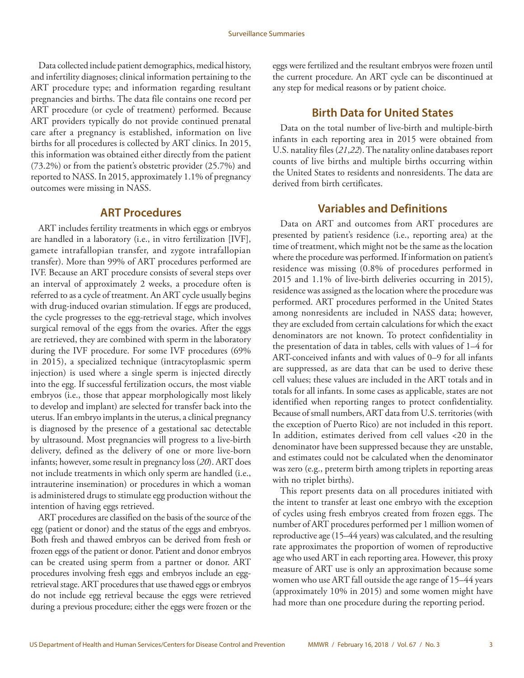Data collected include patient demographics, medical history, and infertility diagnoses; clinical information pertaining to the ART procedure type; and information regarding resultant pregnancies and births. The data file contains one record per ART procedure (or cycle of treatment) performed. Because ART providers typically do not provide continued prenatal care after a pregnancy is established, information on live births for all procedures is collected by ART clinics. In 2015, this information was obtained either directly from the patient (73.2%) or from the patient's obstetric provider (25.7%) and reported to NASS. In 2015, approximately 1.1% of pregnancy outcomes were missing in NASS.

#### **ART Procedures**

ART includes fertility treatments in which eggs or embryos are handled in a laboratory (i.e., in vitro fertilization [IVF], gamete intrafallopian transfer, and zygote intrafallopian transfer). More than 99% of ART procedures performed are IVF. Because an ART procedure consists of several steps over an interval of approximately 2 weeks, a procedure often is referred to as a cycle of treatment. An ART cycle usually begins with drug-induced ovarian stimulation. If eggs are produced, the cycle progresses to the egg-retrieval stage, which involves surgical removal of the eggs from the ovaries. After the eggs are retrieved, they are combined with sperm in the laboratory during the IVF procedure. For some IVF procedures (69% in 2015), a specialized technique (intracytoplasmic sperm injection) is used where a single sperm is injected directly into the egg. If successful fertilization occurs, the most viable embryos (i.e., those that appear morphologically most likely to develop and implant) are selected for transfer back into the uterus. If an embryo implants in the uterus, a clinical pregnancy is diagnosed by the presence of a gestational sac detectable by ultrasound. Most pregnancies will progress to a live-birth delivery, defined as the delivery of one or more live-born infants; however, some result in pregnancy loss (*20*). ART does not include treatments in which only sperm are handled (i.e., intrauterine insemination) or procedures in which a woman is administered drugs to stimulate egg production without the intention of having eggs retrieved.

ART procedures are classified on the basis of the source of the egg (patient or donor) and the status of the eggs and embryos. Both fresh and thawed embryos can be derived from fresh or frozen eggs of the patient or donor. Patient and donor embryos can be created using sperm from a partner or donor. ART procedures involving fresh eggs and embryos include an eggretrieval stage. ART procedures that use thawed eggs or embryos do not include egg retrieval because the eggs were retrieved during a previous procedure; either the eggs were frozen or the eggs were fertilized and the resultant embryos were frozen until the current procedure. An ART cycle can be discontinued at any step for medical reasons or by patient choice.

#### **Birth Data for United States**

Data on the total number of live-birth and multiple-birth infants in each reporting area in 2015 were obtained from U.S. natality files (*21*,*22*). The natality online databases report counts of live births and multiple births occurring within the United States to residents and nonresidents. The data are derived from birth certificates.

#### **Variables and Definitions**

Data on ART and outcomes from ART procedures are presented by patient's residence (i.e., reporting area) at the time of treatment, which might not be the same as the location where the procedure was performed. If information on patient's residence was missing (0.8% of procedures performed in 2015 and 1.1% of live-birth deliveries occurring in 2015), residence was assigned as the location where the procedure was performed. ART procedures performed in the United States among nonresidents are included in NASS data; however, they are excluded from certain calculations for which the exact denominators are not known. To protect confidentiality in the presentation of data in tables, cells with values of 1–4 for ART-conceived infants and with values of 0–9 for all infants are suppressed, as are data that can be used to derive these cell values; these values are included in the ART totals and in totals for all infants. In some cases as applicable, states are not identified when reporting ranges to protect confidentiality. Because of small numbers, ART data from U.S. territories (with the exception of Puerto Rico) are not included in this report. In addition, estimates derived from cell values <20 in the denominator have been suppressed because they are unstable, and estimates could not be calculated when the denominator was zero (e.g., preterm birth among triplets in reporting areas with no triplet births).

This report presents data on all procedures initiated with the intent to transfer at least one embryo with the exception of cycles using fresh embryos created from frozen eggs. The number of ART procedures performed per 1 million women of reproductive age (15–44 years) was calculated, and the resulting rate approximates the proportion of women of reproductive age who used ART in each reporting area. However, this proxy measure of ART use is only an approximation because some women who use ART fall outside the age range of 15–44 years (approximately 10% in 2015) and some women might have had more than one procedure during the reporting period.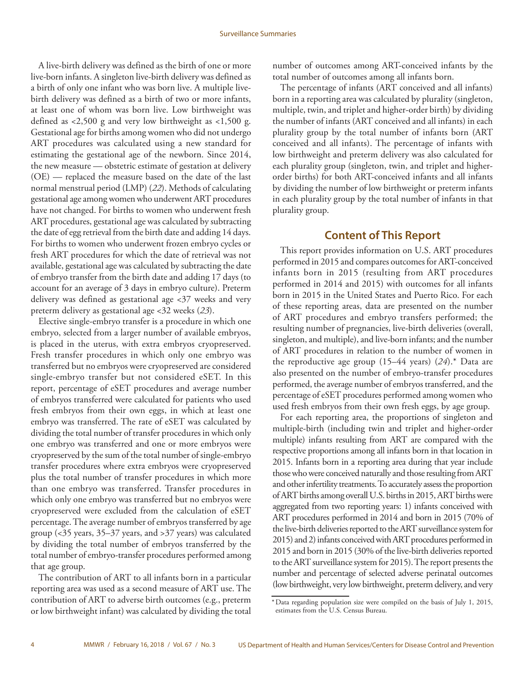A live-birth delivery was defined as the birth of one or more live-born infants. A singleton live-birth delivery was defined as a birth of only one infant who was born live. A multiple livebirth delivery was defined as a birth of two or more infants, at least one of whom was born live. Low birthweight was defined as <2,500 g and very low birthweight as <1,500 g. Gestational age for births among women who did not undergo ART procedures was calculated using a new standard for estimating the gestational age of the newborn. Since 2014, the new measure — obstetric estimate of gestation at delivery (OE) — replaced the measure based on the date of the last normal menstrual period (LMP) (*22*). Methods of calculating gestational age among women who underwent ART procedures have not changed. For births to women who underwent fresh ART procedures, gestational age was calculated by subtracting the date of egg retrieval from the birth date and adding 14 days. For births to women who underwent frozen embryo cycles or fresh ART procedures for which the date of retrieval was not available, gestational age was calculated by subtracting the date of embryo transfer from the birth date and adding 17 days (to account for an average of 3 days in embryo culture). Preterm delivery was defined as gestational age <37 weeks and very preterm delivery as gestational age <32 weeks (*23*).

Elective single-embryo transfer is a procedure in which one embryo, selected from a larger number of available embryos, is placed in the uterus, with extra embryos cryopreserved. Fresh transfer procedures in which only one embryo was transferred but no embryos were cryopreserved are considered single-embryo transfer but not considered eSET. In this report, percentage of eSET procedures and average number of embryos transferred were calculated for patients who used fresh embryos from their own eggs, in which at least one embryo was transferred. The rate of eSET was calculated by dividing the total number of transfer procedures in which only one embryo was transferred and one or more embryos were cryopreserved by the sum of the total number of single-embryo transfer procedures where extra embryos were cryopreserved plus the total number of transfer procedures in which more than one embryo was transferred. Transfer procedures in which only one embryo was transferred but no embryos were cryopreserved were excluded from the calculation of eSET percentage. The average number of embryos transferred by age group (<35 years, 35–37 years, and >37 years) was calculated by dividing the total number of embryos transferred by the total number of embryo-transfer procedures performed among that age group.

The contribution of ART to all infants born in a particular reporting area was used as a second measure of ART use. The contribution of ART to adverse birth outcomes (e.g., preterm or low birthweight infant) was calculated by dividing the total number of outcomes among ART-conceived infants by the total number of outcomes among all infants born.

The percentage of infants (ART conceived and all infants) born in a reporting area was calculated by plurality (singleton, multiple, twin, and triplet and higher-order birth) by dividing the number of infants (ART conceived and all infants) in each plurality group by the total number of infants born (ART conceived and all infants). The percentage of infants with low birthweight and preterm delivery was also calculated for each plurality group (singleton, twin, and triplet and higherorder births) for both ART-conceived infants and all infants by dividing the number of low birthweight or preterm infants in each plurality group by the total number of infants in that plurality group.

#### **Content of This Report**

This report provides information on U.S. ART procedures performed in 2015 and compares outcomes for ART-conceived infants born in 2015 (resulting from ART procedures performed in 2014 and 2015) with outcomes for all infants born in 2015 in the United States and Puerto Rico. For each of these reporting areas, data are presented on the number of ART procedures and embryo transfers performed; the resulting number of pregnancies, live-birth deliveries (overall, singleton, and multiple), and live-born infants; and the number of ART procedures in relation to the number of women in the reproductive age group (15–44 years) (*24*).\* Data are also presented on the number of embryo-transfer procedures performed, the average number of embryos transferred, and the percentage of eSET procedures performed among women who used fresh embryos from their own fresh eggs, by age group.

For each reporting area, the proportions of singleton and multiple-birth (including twin and triplet and higher-order multiple) infants resulting from ART are compared with the respective proportions among all infants born in that location in 2015. Infants born in a reporting area during that year include those who were conceived naturally and those resulting from ART and other infertility treatments. To accurately assess the proportion of ART births among overall U.S. births in 2015, ART births were aggregated from two reporting years: 1) infants conceived with ART procedures performed in 2014 and born in 2015 (70% of the live-birth deliveries reported to the ART surveillance system for 2015) and 2) infants conceived with ART procedures performed in 2015 and born in 2015 (30% of the live-birth deliveries reported to the ART surveillance system for 2015). The report presents the number and percentage of selected adverse perinatal outcomes (low birthweight, very low birthweight, preterm delivery, and very

<sup>\*</sup>Data regarding population size were compiled on the basis of July 1, 2015, estimates from the U.S. Census Bureau.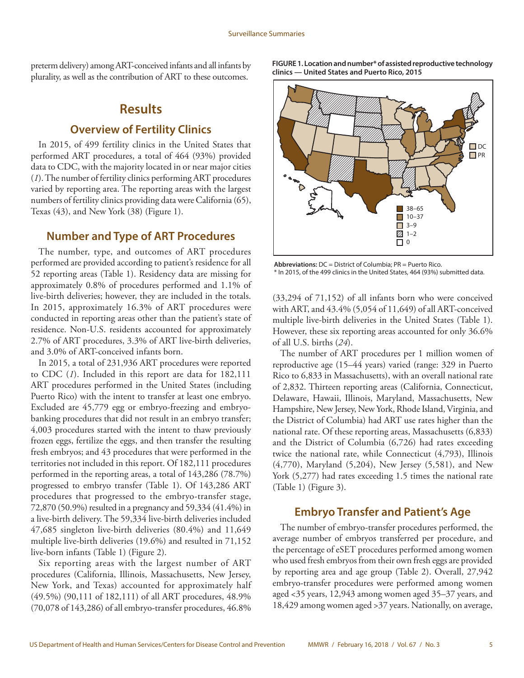<span id="page-6-0"></span>preterm delivery) among ART-conceived infants and all infants by plurality, as well as the contribution of ART to these outcomes.

#### **Results**

#### **Overview of Fertility Clinics**

In 2015, of 499 fertility clinics in the United States that performed ART procedures, a total of 464 (93%) provided data to CDC, with the majority located in or near major cities (*1*). The number of fertility clinics performing ART procedures varied by reporting area. The reporting areas with the largest numbers of fertility clinics providing data were California (65), Texas (43), and New York (38) (Figure 1).

#### **Number and Type of ART Procedures**

The number, type, and outcomes of ART procedures performed are provided according to patient's residence for all 52 reporting areas (Table 1). Residency data are missing for approximately 0.8% of procedures performed and 1.1% of live-birth deliveries; however, they are included in the totals. In 2015, approximately 16.3% of ART procedures were conducted in reporting areas other than the patient's state of residence. Non-U.S. residents accounted for approximately 2.7% of ART procedures, 3.3% of ART live-birth deliveries, and 3.0% of ART-conceived infants born.

In 2015, a total of 231,936 ART procedures were reported to CDC (*1*). Included in this report are data for 182,111 ART procedures performed in the United States (including Puerto Rico) with the intent to transfer at least one embryo. Excluded are 45,779 egg or embryo-freezing and embryobanking procedures that did not result in an embryo transfer; 4,003 procedures started with the intent to thaw previously frozen eggs, fertilize the eggs, and then transfer the resulting fresh embryos; and 43 procedures that were performed in the territories not included in this report. Of 182,111 procedures performed in the reporting areas, a total of 143,286 (78.7%) progressed to embryo transfer (Table 1). Of 143,286 ART procedures that progressed to the embryo-transfer stage, 72,870 (50.9%) resulted in a pregnancy and 59,334 (41.4%) in a live-birth delivery. The 59,334 live-birth deliveries included 47,685 singleton live-birth deliveries (80.4%) and 11,649 multiple live-birth deliveries (19.6%) and resulted in 71,152 live-born infants (Table 1) (Figure 2).

Six reporting areas with the largest number of ART procedures (California, Illinois, Massachusetts, New Jersey, New York, and Texas) accounted for approximately half (49.5%) (90,111 of 182,111) of all ART procedures, 48.9% (70,078 of 143,286) of all embryo-transfer procedures, 46.8%

**FIGURE 1. Location and number\* of assisted reproductive technology clinics — United States and Puerto Rico, 2015**



**Abbreviations:** DC = District of Columbia; PR = Puerto Rico. \* In 2015, of the 499 clinics in the United States, 464 (93%) submitted data.

(33,294 of 71,152) of all infants born who were conceived with ART, and 43.4% (5,054 of 11,649) of all ART-conceived multiple live-birth deliveries in the United States (Table 1). However, these six reporting areas accounted for only 36.6% of all U.S. births (*24*).

The number of ART procedures per 1 million women of reproductive age (15–44 years) varied (range: 329 in Puerto Rico to 6,833 in Massachusetts), with an overall national rate of 2,832. Thirteen reporting areas (California, Connecticut, Delaware, Hawaii, Illinois, Maryland, Massachusetts, New Hampshire, New Jersey, New York, Rhode Island, Virginia, and the District of Columbia) had ART use rates higher than the national rate. Of these reporting areas, Massachusetts (6,833) and the District of Columbia (6,726) had rates exceeding twice the national rate, while Connecticut (4,793), Illinois (4,770), Maryland (5,204), New Jersey (5,581), and New York (5,277) had rates exceeding 1.5 times the national rate (Table 1) (Figure 3).

#### **Embryo Transfer and Patient's Age**

The number of embryo-transfer procedures performed, the average number of embryos transferred per procedure, and the percentage of eSET procedures performed among women who used fresh embryos from their own fresh eggs are provided by reporting area and age group (Table 2). Overall, 27,942 embryo-transfer procedures were performed among women aged <35 years, 12,943 among women aged 35–37 years, and 18,429 among women aged >37 years. Nationally, on average,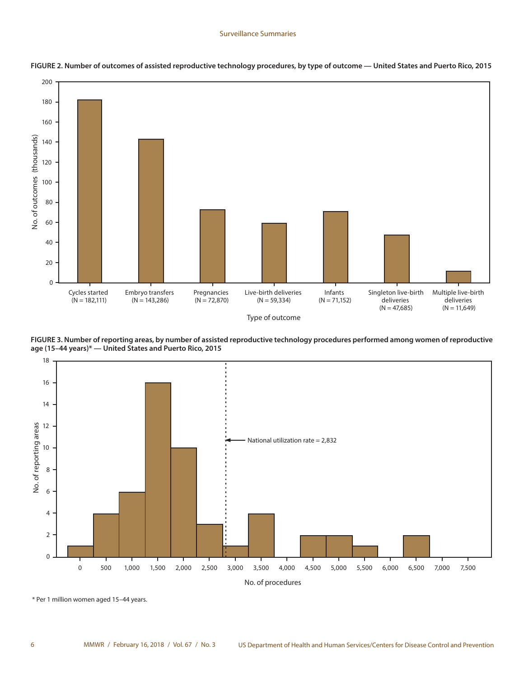#### Surveillance Summaries



**FIGURE 2. Number of outcomes of assisted reproductive technology procedures, by type of outcome — United States and Puerto Rico, 2015**

**FIGURE 3. Number of reporting areas, by number of assisted reproductive technology procedures performed among women of reproductive age (15–44 years)\* — United States and Puerto Rico, 2015**



<sup>\*</sup> Per 1 million women aged 15–44 years.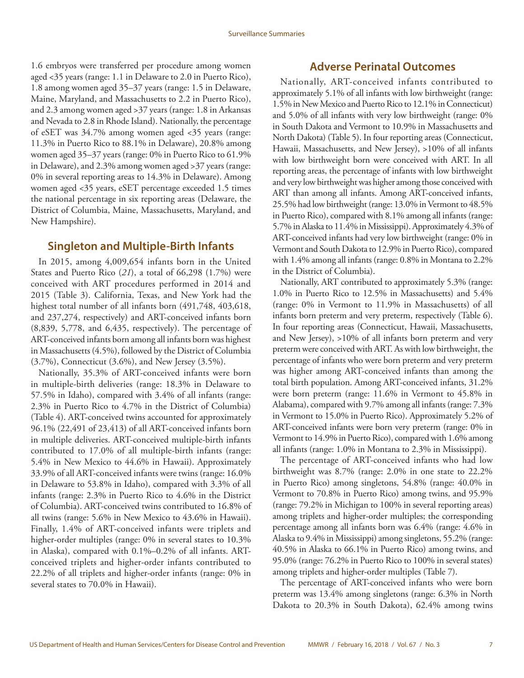#### 1.6 embryos were transferred per procedure among women aged <35 years (range: 1.1 in Delaware to 2.0 in Puerto Rico), 1.8 among women aged 35–37 years (range: 1.5 in Delaware, Maine, Maryland, and Massachusetts to 2.2 in Puerto Rico), and 2.3 among women aged >37 years (range: 1.8 in Arkansas and Nevada to 2.8 in Rhode Island). Nationally, the percentage of eSET was 34.7% among women aged <35 years (range: 11.3% in Puerto Rico to 88.1% in Delaware), 20.8% among women aged 35–37 years (range: 0% in Puerto Rico to 61.9% in Delaware), and 2.3% among women aged >37 years (range: 0% in several reporting areas to 14.3% in Delaware). Among women aged <35 years, eSET percentage exceeded 1.5 times the national percentage in six reporting areas (Delaware, the District of Columbia, Maine, Massachusetts, Maryland, and New Hampshire).

#### **Singleton and Multiple-Birth Infants**

In 2015, among 4,009,654 infants born in the United States and Puerto Rico (*21*), a total of 66,298 (1.7%) were conceived with ART procedures performed in 2014 and 2015 (Table 3). California, Texas, and New York had the highest total number of all infants born (491,748, 403,618, and 237,274, respectively) and ART-conceived infants born (8,839, 5,778, and 6,435, respectively). The percentage of ART-conceived infants born among all infants born was highest in Massachusetts (4.5%), followed by the District of Columbia (3.7%), Connecticut (3.6%), and New Jersey (3.5%).

Nationally, 35.3% of ART-conceived infants were born in multiple-birth deliveries (range: 18.3% in Delaware to 57.5% in Idaho), compared with 3.4% of all infants (range: 2.3% in Puerto Rico to 4.7% in the District of Columbia) (Table 4). ART-conceived twins accounted for approximately 96.1% (22,491 of 23,413) of all ART-conceived infants born in multiple deliveries. ART-conceived multiple-birth infants contributed to 17.0% of all multiple-birth infants (range: 5.4% in New Mexico to 44.6% in Hawaii). Approximately 33.9% of all ART-conceived infants were twins (range: 16.0% in Delaware to 53.8% in Idaho), compared with 3.3% of all infants (range: 2.3% in Puerto Rico to 4.6% in the District of Columbia). ART-conceived twins contributed to 16.8% of all twins (range: 5.6% in New Mexico to 43.6% in Hawaii). Finally, 1.4% of ART-conceived infants were triplets and higher-order multiples (range: 0% in several states to 10.3% in Alaska), compared with 0.1%–0.2% of all infants. ARTconceived triplets and higher-order infants contributed to 22.2% of all triplets and higher-order infants (range: 0% in several states to 70.0% in Hawaii).

#### **Adverse Perinatal Outcomes**

Nationally, ART-conceived infants contributed to approximately 5.1% of all infants with low birthweight (range: 1.5% in New Mexico and Puerto Rico to 12.1% in Connecticut) and 5.0% of all infants with very low birthweight (range: 0% in South Dakota and Vermont to 10.9% in Massachusetts and North Dakota) (Table 5). In four reporting areas (Connecticut, Hawaii, Massachusetts, and New Jersey), >10% of all infants with low birthweight born were conceived with ART. In all reporting areas, the percentage of infants with low birthweight and very low birthweight was higher among those conceived with ART than among all infants. Among ART-conceived infants, 25.5% had low birthweight (range: 13.0% in Vermont to 48.5% in Puerto Rico), compared with 8.1% among all infants (range: 5.7% in Alaska to 11.4% in Mississippi). Approximately 4.3% of ART-conceived infants had very low birthweight (range: 0% in Vermont and South Dakota to 12.9% in Puerto Rico), compared with 1.4% among all infants (range: 0.8% in Montana to 2.2% in the District of Columbia).

Nationally, ART contributed to approximately 5.3% (range: 1.0% in Puerto Rico to 12.5% in Massachusetts) and 5.4% (range: 0% in Vermont to 11.9% in Massachusetts) of all infants born preterm and very preterm, respectively (Table 6). In four reporting areas (Connecticut, Hawaii, Massachusetts, and New Jersey), >10% of all infants born preterm and very preterm were conceived with ART. As with low birthweight, the percentage of infants who were born preterm and very preterm was higher among ART-conceived infants than among the total birth population. Among ART-conceived infants, 31.2% were born preterm (range: 11.6% in Vermont to 45.8% in Alabama), compared with 9.7% among all infants (range: 7.3% in Vermont to 15.0% in Puerto Rico). Approximately 5.2% of ART-conceived infants were born very preterm (range: 0% in Vermont to 14.9% in Puerto Rico), compared with 1.6% among all infants (range: 1.0% in Montana to 2.3% in Mississippi).

The percentage of ART-conceived infants who had low birthweight was 8.7% (range: 2.0% in one state to 22.2% in Puerto Rico) among singletons, 54.8% (range: 40.0% in Vermont to 70.8% in Puerto Rico) among twins, and 95.9% (range: 79.2% in Michigan to 100% in several reporting areas) among triplets and higher-order multiples; the corresponding percentage among all infants born was 6.4% (range: 4.6% in Alaska to 9.4% in Mississippi) among singletons, 55.2% (range: 40.5% in Alaska to 66.1% in Puerto Rico) among twins, and 95.0% (range: 76.2% in Puerto Rico to 100% in several states) among triplets and higher-order multiples (Table 7).

The percentage of ART-conceived infants who were born preterm was 13.4% among singletons (range: 6.3% in North Dakota to 20.3% in South Dakota), 62.4% among twins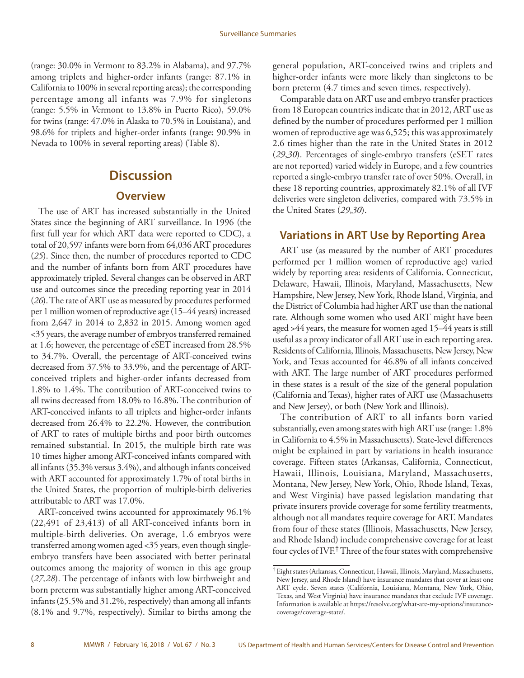<span id="page-9-0"></span>(range: 30.0% in Vermont to 83.2% in Alabama), and 97.7% among triplets and higher-order infants (range: 87.1% in California to 100% in several reporting areas); the corresponding percentage among all infants was 7.9% for singletons (range: 5.5% in Vermont to 13.8% in Puerto Rico), 59.0% for twins (range: 47.0% in Alaska to 70.5% in Louisiana), and 98.6% for triplets and higher-order infants (range: 90.9% in Nevada to 100% in several reporting areas) (Table 8).

### **Discussion**

#### **Overview**

The use of ART has increased substantially in the United States since the beginning of ART surveillance. In 1996 (the first full year for which ART data were reported to CDC), a total of 20,597 infants were born from 64,036 ART procedures (*25*). Since then, the number of procedures reported to CDC and the number of infants born from ART procedures have approximately tripled. Several changes can be observed in ART use and outcomes since the preceding reporting year in 2014 (*26*). The rate of ART use as measured by procedures performed per 1 million women of reproductive age (15–44 years) increased from 2,647 in 2014 to 2,832 in 2015. Among women aged <35 years, the average number of embryos transferred remained at 1.6; however, the percentage of eSET increased from 28.5% to 34.7%. Overall, the percentage of ART-conceived twins decreased from 37.5% to 33.9%, and the percentage of ARTconceived triplets and higher-order infants decreased from 1.8% to 1.4%. The contribution of ART-conceived twins to all twins decreased from 18.0% to 16.8%. The contribution of ART-conceived infants to all triplets and higher-order infants decreased from 26.4% to 22.2%. However, the contribution of ART to rates of multiple births and poor birth outcomes remained substantial. In 2015, the multiple birth rate was 10 times higher among ART-conceived infants compared with all infants (35.3% versus 3.4%), and although infants conceived with ART accounted for approximately 1.7% of total births in the United States, the proportion of multiple-birth deliveries attributable to ART was 17.0%.

ART-conceived twins accounted for approximately 96.1% (22,491 of 23,413) of all ART-conceived infants born in multiple-birth deliveries. On average, 1.6 embryos were transferred among women aged <35 years, even though singleembryo transfers have been associated with better perinatal outcomes among the majority of women in this age group (*27,28*). The percentage of infants with low birthweight and born preterm was substantially higher among ART-conceived infants (25.5% and 31.2%, respectively) than among all infants (8.1% and 9.7%, respectively). Similar to births among the general population, ART-conceived twins and triplets and higher-order infants were more likely than singletons to be born preterm (4.7 times and seven times, respectively).

Comparable data on ART use and embryo transfer practices from 18 European countries indicate that in 2012, ART use as defined by the number of procedures performed per 1 million women of reproductive age was 6,525; this was approximately 2.6 times higher than the rate in the United States in 2012 (*29*,*30*). Percentages of single-embryo transfers (eSET rates are not reported) varied widely in Europe, and a few countries reported a single-embryo transfer rate of over 50%. Overall, in these 18 reporting countries, approximately 82.1% of all IVF deliveries were singleton deliveries, compared with 73.5% in the United States (*29*,*30*).

#### **Variations in ART Use by Reporting Area**

ART use (as measured by the number of ART procedures performed per 1 million women of reproductive age) varied widely by reporting area: residents of California, Connecticut, Delaware, Hawaii, Illinois, Maryland, Massachusetts, New Hampshire, New Jersey, New York, Rhode Island, Virginia, and the District of Columbia had higher ART use than the national rate. Although some women who used ART might have been aged >44 years, the measure for women aged 15–44 years is still useful as a proxy indicator of all ART use in each reporting area. Residents of California, Illinois, Massachusetts, New Jersey, New York, and Texas accounted for 46.8% of all infants conceived with ART. The large number of ART procedures performed in these states is a result of the size of the general population (California and Texas), higher rates of ART use (Massachusetts and New Jersey), or both (New York and Illinois).

The contribution of ART to all infants born varied substantially, even among states with high ART use (range: 1.8% in California to 4.5% in Massachusetts). State-level differences might be explained in part by variations in health insurance coverage. Fifteen states (Arkansas, California, Connecticut, Hawaii, Illinois, Louisiana, Maryland, Massachusetts, Montana, New Jersey, New York, Ohio, Rhode Island, Texas, and West Virginia) have passed legislation mandating that private insurers provide coverage for some fertility treatments, although not all mandates require coverage for ART. Mandates from four of these states (Illinois, Massachusetts, New Jersey, and Rhode Island) include comprehensive coverage for at least four cycles of IVF.† Three of the four states with comprehensive

<sup>†</sup>Eight states (Arkansas, Connecticut, Hawaii, Illinois, Maryland, Massachusetts, New Jersey, and Rhode Island) have insurance mandates that cover at least one ART cycle. Seven states (California, Louisiana, Montana, New York, Ohio, Texas, and West Virginia) have insurance mandates that exclude IVF coverage. Information is available at [https://resolve.org/what-are-my-options/insurance](https://resolve.org/what-are-my-options/insurance-coverage/coverage-state/)[coverage/coverage-state/.](https://resolve.org/what-are-my-options/insurance-coverage/coverage-state/)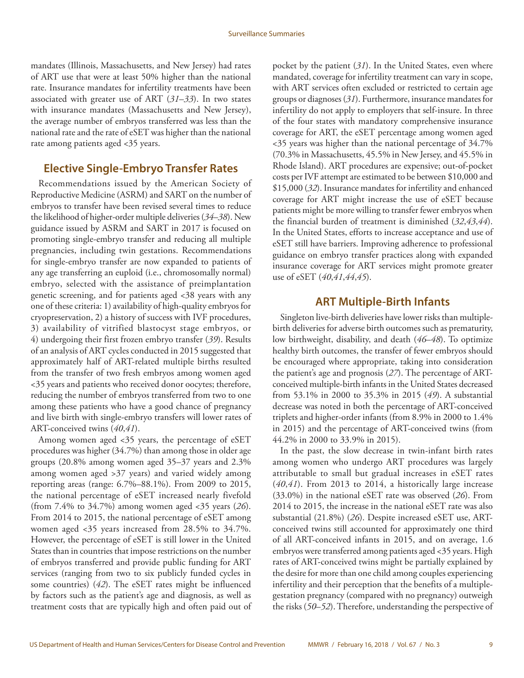mandates (Illinois, Massachusetts, and New Jersey) had rates of ART use that were at least 50% higher than the national rate. Insurance mandates for infertility treatments have been associated with greater use of ART (*31*–*33*). In two states with insurance mandates (Massachusetts and New Jersey), the average number of embryos transferred was less than the national rate and the rate of eSET was higher than the national rate among patients aged <35 years.

#### **Elective Single-Embryo Transfer Rates**

Recommendations issued by the American Society of Reproductive Medicine (ASRM) and SART on the number of embryos to transfer have been revised several times to reduce the likelihood of higher-order multiple deliveries (*34*–*38*). New guidance issued by ASRM and SART in 2017 is focused on promoting single-embryo transfer and reducing all multiple pregnancies, including twin gestations. Recommendations for single-embryo transfer are now expanded to patients of any age transferring an euploid (i.e., chromosomally normal) embryo, selected with the assistance of preimplantation genetic screening, and for patients aged <38 years with any one of these criteria: 1) availability of high-quality embryos for cryopreservation, 2) a history of success with IVF procedures, 3) availability of vitrified blastocyst stage embryos, or 4) undergoing their first frozen embryo transfer (*39*). Results of an analysis of ART cycles conducted in 2015 suggested that approximately half of ART-related multiple births resulted from the transfer of two fresh embryos among women aged <35 years and patients who received donor oocytes; therefore, reducing the number of embryos transferred from two to one among these patients who have a good chance of pregnancy and live birth with single-embryo transfers will lower rates of ART-conceived twins (*40*,*41*).

Among women aged <35 years, the percentage of eSET procedures was higher (34.7%) than among those in older age groups (20.8% among women aged 35–37 years and 2.3% among women aged >37 years) and varied widely among reporting areas (range: 6.7%–88.1%). From 2009 to 2015, the national percentage of eSET increased nearly fivefold (from 7.4% to 34.7%) among women aged <35 years (*26*). From 2014 to 2015, the national percentage of eSET among women aged <35 years increased from 28.5% to 34.7%. However, the percentage of eSET is still lower in the United States than in countries that impose restrictions on the number of embryos transferred and provide public funding for ART services (ranging from two to six publicly funded cycles in some countries) (*42*). The eSET rates might be influenced by factors such as the patient's age and diagnosis, as well as treatment costs that are typically high and often paid out of pocket by the patient (*31*). In the United States, even where mandated, coverage for infertility treatment can vary in scope, with ART services often excluded or restricted to certain age groups or diagnoses (*31*). Furthermore, insurance mandates for infertility do not apply to employers that self-insure. In three of the four states with mandatory comprehensive insurance coverage for ART, the eSET percentage among women aged <35 years was higher than the national percentage of 34.7% (70.3% in Massachusetts, 45.5% in New Jersey, and 45.5% in Rhode Island). ART procedures are expensive; out-of-pocket costs per IVF attempt are estimated to be between \$10,000 and \$15,000 (*32*). Insurance mandates for infertility and enhanced coverage for ART might increase the use of eSET because patients might be more willing to transfer fewer embryos when the financial burden of treatment is diminished (*32*,*43*,*44*). In the United States, efforts to increase acceptance and use of eSET still have barriers. Improving adherence to professional guidance on embryo transfer practices along with expanded insurance coverage for ART services might promote greater use of eSET (*40*,*41*,*44*,*45*).

#### **ART Multiple-Birth Infants**

Singleton live-birth deliveries have lower risks than multiplebirth deliveries for adverse birth outcomes such as prematurity, low birthweight, disability, and death (*46*–*48*). To optimize healthy birth outcomes, the transfer of fewer embryos should be encouraged where appropriate, taking into consideration the patient's age and prognosis (*27*). The percentage of ARTconceived multiple-birth infants in the United States decreased from 53.1% in 2000 to 35.3% in 2015 (*49*). A substantial decrease was noted in both the percentage of ART-conceived triplets and higher-order infants (from 8.9% in 2000 to 1.4% in 2015) and the percentage of ART-conceived twins (from 44.2% in 2000 to 33.9% in 2015).

In the past, the slow decrease in twin-infant birth rates among women who undergo ART procedures was largely attributable to small but gradual increases in eSET rates (*40*,*41*). From 2013 to 2014, a historically large increase (33.0%) in the national eSET rate was observed (*26*). From 2014 to 2015, the increase in the national eSET rate was also substantial (21.8%) (*26*). Despite increased eSET use, ARTconceived twins still accounted for approximately one third of all ART-conceived infants in 2015, and on average, 1.6 embryos were transferred among patients aged <35 years. High rates of ART-conceived twins might be partially explained by the desire for more than one child among couples experiencing infertility and their perception that the benefits of a multiplegestation pregnancy (compared with no pregnancy) outweigh the risks (*50*–*52*). Therefore, understanding the perspective of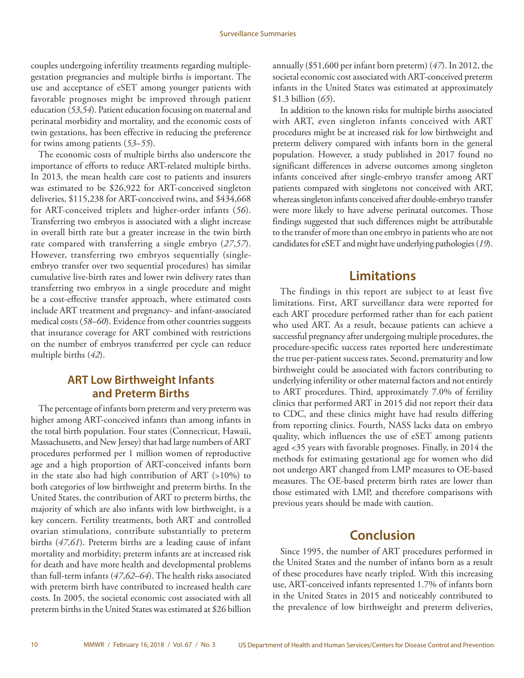<span id="page-11-0"></span>couples undergoing infertility treatments regarding multiplegestation pregnancies and multiple births is important. The use and acceptance of eSET among younger patients with favorable prognoses might be improved through patient education (*53*,*54*). Patient education focusing on maternal and perinatal morbidity and mortality, and the economic costs of twin gestations, has been effective in reducing the preference for twins among patients (*53*–*55*).

The economic costs of multiple births also underscore the importance of efforts to reduce ART-related multiple births. In 2013, the mean health care cost to patients and insurers was estimated to be \$26,922 for ART-conceived singleton deliveries, \$115,238 for ART-conceived twins, and \$434,668 for ART-conceived triplets and higher-order infants (*56*). Transferring two embryos is associated with a slight increase in overall birth rate but a greater increase in the twin birth rate compared with transferring a single embryo (*27*,*57*). However, transferring two embryos sequentially (singleembryo transfer over two sequential procedures) has similar cumulative live-birth rates and lower twin delivery rates than transferring two embryos in a single procedure and might be a cost-effective transfer approach, where estimated costs include ART treatment and pregnancy- and infant-associated medical costs (*58*–*60*). Evidence from other countries suggests that insurance coverage for ART combined with restrictions on the number of embryos transferred per cycle can reduce multiple births (*42*).

#### **ART Low Birthweight Infants and Preterm Births**

The percentage of infants born preterm and very preterm was higher among ART-conceived infants than among infants in the total birth population. Four states (Connecticut, Hawaii, Massachusetts, and New Jersey) that had large numbers of ART procedures performed per 1 million women of reproductive age and a high proportion of ART-conceived infants born in the state also had high contribution of ART (>10%) to both categories of low birthweight and preterm births. In the United States, the contribution of ART to preterm births, the majority of which are also infants with low birthweight, is a key concern. Fertility treatments, both ART and controlled ovarian stimulations, contribute substantially to preterm births (*47*,*61*). Preterm births are a leading cause of infant mortality and morbidity; preterm infants are at increased risk for death and have more health and developmental problems than full-term infants (*47*,*62*–*64*). The health risks associated with preterm birth have contributed to increased health care costs. In 2005, the societal economic cost associated with all preterm births in the United States was estimated at \$26 billion annually (\$51,600 per infant born preterm) (*47*). In 2012, the societal economic cost associated with ART-conceived preterm infants in the United States was estimated at approximately \$1.3 billion (*65*).

In addition to the known risks for multiple births associated with ART, even singleton infants conceived with ART procedures might be at increased risk for low birthweight and preterm delivery compared with infants born in the general population. However, a study published in 2017 found no significant differences in adverse outcomes among singleton infants conceived after single-embryo transfer among ART patients compared with singletons not conceived with ART, whereas singleton infants conceived after double-embryo transfer were more likely to have adverse perinatal outcomes. Those findings suggested that such differences might be attributable to the transfer of more than one embryo in patients who are not candidates for eSET and might have underlying pathologies (*19*).

# **Limitations**

The findings in this report are subject to at least five limitations. First, ART surveillance data were reported for each ART procedure performed rather than for each patient who used ART. As a result, because patients can achieve a successful pregnancy after undergoing multiple procedures, the procedure-specific success rates reported here underestimate the true per-patient success rates. Second, prematurity and low birthweight could be associated with factors contributing to underlying infertility or other maternal factors and not entirely to ART procedures. Third, approximately 7.0% of fertility clinics that performed ART in 2015 did not report their data to CDC, and these clinics might have had results differing from reporting clinics. Fourth, NASS lacks data on embryo quality, which influences the use of eSET among patients aged <35 years with favorable prognoses. Finally, in 2014 the methods for estimating gestational age for women who did not undergo ART changed from LMP measures to OE-based measures. The OE-based preterm birth rates are lower than those estimated with LMP, and therefore comparisons with previous years should be made with caution.

# **Conclusion**

Since 1995, the number of ART procedures performed in the United States and the number of infants born as a result of these procedures have nearly tripled. With this increasing use, ART-conceived infants represented 1.7% of infants born in the United States in 2015 and noticeably contributed to the prevalence of low birthweight and preterm deliveries,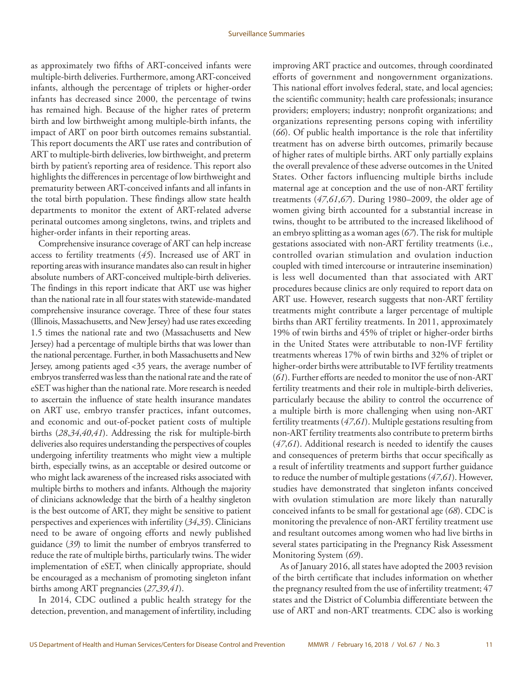as approximately two fifths of ART-conceived infants were multiple-birth deliveries. Furthermore, among ART-conceived infants, although the percentage of triplets or higher-order infants has decreased since 2000, the percentage of twins has remained high. Because of the higher rates of preterm birth and low birthweight among multiple-birth infants, the impact of ART on poor birth outcomes remains substantial. This report documents the ART use rates and contribution of ART to multiple-birth deliveries, low birthweight, and preterm birth by patient's reporting area of residence. This report also highlights the differences in percentage of low birthweight and prematurity between ART-conceived infants and all infants in the total birth population. These findings allow state health departments to monitor the extent of ART-related adverse perinatal outcomes among singletons, twins, and triplets and higher-order infants in their reporting areas.

Comprehensive insurance coverage of ART can help increase access to fertility treatments (*45*). Increased use of ART in reporting areas with insurance mandates also can result in higher absolute numbers of ART-conceived multiple-birth deliveries. The findings in this report indicate that ART use was higher than the national rate in all four states with statewide-mandated comprehensive insurance coverage. Three of these four states (Illinois, Massachusetts, and New Jersey) had use rates exceeding 1.5 times the national rate and two (Massachusetts and New Jersey) had a percentage of multiple births that was lower than the national percentage. Further, in both Massachusetts and New Jersey, among patients aged <35 years, the average number of embryos transferred was less than the national rate and the rate of eSET was higher than the national rate. More research is needed to ascertain the influence of state health insurance mandates on ART use, embryo transfer practices, infant outcomes, and economic and out-of-pocket patient costs of multiple births (*28*,*34*,*40*,*41*). Addressing the risk for multiple-birth deliveries also requires understanding the perspectives of couples undergoing infertility treatments who might view a multiple birth, especially twins, as an acceptable or desired outcome or who might lack awareness of the increased risks associated with multiple births to mothers and infants. Although the majority of clinicians acknowledge that the birth of a healthy singleton is the best outcome of ART, they might be sensitive to patient perspectives and experiences with infertility (*34*,*35*). Clinicians need to be aware of ongoing efforts and newly published guidance (*39*) to limit the number of embryos transferred to reduce the rate of multiple births, particularly twins. The wider implementation of eSET, when clinically appropriate, should be encouraged as a mechanism of promoting singleton infant births among ART pregnancies (*27*,*39*,*41*).

In 2014, CDC outlined a public health strategy for the detection, prevention, and management of infertility, including improving ART practice and outcomes, through coordinated efforts of government and nongovernment organizations. This national effort involves federal, state, and local agencies; the scientific community; health care professionals; insurance providers; employers; industry; nonprofit organizations; and organizations representing persons coping with infertility (*66*). Of public health importance is the role that infertility treatment has on adverse birth outcomes, primarily because of higher rates of multiple births. ART only partially explains the overall prevalence of these adverse outcomes in the United States. Other factors influencing multiple births include maternal age at conception and the use of non-ART fertility treatments (*47*,*61*,*67*). During 1980–2009, the older age of women giving birth accounted for a substantial increase in twins, thought to be attributed to the increased likelihood of an embryo splitting as a woman ages (*67*). The risk for multiple gestations associated with non-ART fertility treatments (i.e., controlled ovarian stimulation and ovulation induction coupled with timed intercourse or intrauterine insemination) is less well documented than that associated with ART procedures because clinics are only required to report data on ART use. However, research suggests that non-ART fertility treatments might contribute a larger percentage of multiple births than ART fertility treatments. In 2011, approximately 19% of twin births and 45% of triplet or higher-order births in the United States were attributable to non-IVF fertility treatments whereas 17% of twin births and 32% of triplet or higher-order births were attributable to IVF fertility treatments (*61*). Further efforts are needed to monitor the use of non-ART fertility treatments and their role in multiple-birth deliveries, particularly because the ability to control the occurrence of a multiple birth is more challenging when using non-ART fertility treatments (*47*,*61*). Multiple gestations resulting from non-ART fertility treatments also contribute to preterm births (*47*,*61*). Additional research is needed to identify the causes and consequences of preterm births that occur specifically as a result of infertility treatments and support further guidance to reduce the number of multiple gestations (*47*,*61*). However, studies have demonstrated that singleton infants conceived with ovulation stimulation are more likely than naturally conceived infants to be small for gestational age (*68*). CDC is monitoring the prevalence of non-ART fertility treatment use and resultant outcomes among women who had live births in several states participating in the Pregnancy Risk Assessment Monitoring System (*69*).

As of January 2016, all states have adopted the 2003 revision of the birth certificate that includes information on whether the pregnancy resulted from the use of infertility treatment; 47 states and the District of Columbia differentiate between the use of ART and non-ART treatments. CDC also is working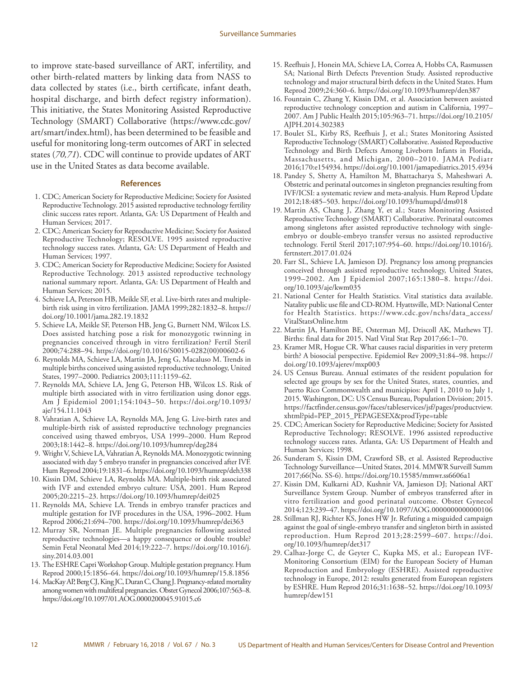<span id="page-13-0"></span>to improve state-based surveillance of ART, infertility, and other birth-related matters by linking data from NASS to data collected by states (i.e., birth certificate, infant death, hospital discharge, and birth defect registry information). This initiative, the States Monitoring Assisted Reproductive Technology (SMART) Collaborative [\(https://www.cdc.gov/](https://www.cdc.gov/art/smart/index.html) [art/smart/index.html\)](https://www.cdc.gov/art/smart/index.html), has been determined to be feasible and useful for monitoring long-term outcomes of ART in selected states (*70,71*). CDC will continue to provide updates of ART use in the United States as data become available.

#### **References**

- 1. CDC; American Society for Reproductive Medicine; Society for Assisted Reproductive Technology. 2015 assisted reproductive technology fertility clinic success rates report. Atlanta, GA: US Department of Health and Human Services; 2017.
- 2. CDC; American Society for Reproductive Medicine; Society for Assisted Reproductive Technology; RESOLVE. 1995 assisted reproductive technology success rates. Atlanta, GA: US Department of Health and Human Services; 1997.
- 3. CDC; American Society for Reproductive Medicine; Society for Assisted Reproductive Technology. 2013 assisted reproductive technology national summary report. Atlanta, GA: US Department of Health and Human Services; 2015.
- 4. Schieve LA, Peterson HB, Meikle SF, et al. Live-birth rates and multiplebirth risk using in vitro fertilization. JAMA 1999;282:1832–8. [https://](https://doi.org/10.1001/jama.282.19.1832) [doi.org/10.1001/jama.282.19.1832](https://doi.org/10.1001/jama.282.19.1832)
- 5. Schieve LA, Meikle SF, Peterson HB, Jeng G, Burnett NM, Wilcox LS. Does assisted hatching pose a risk for monozygotic twinning in pregnancies conceived through in vitro fertilization? Fertil Steril 2000;74:288–94. [https://doi.org/10.1016/S0015-0282\(00\)00602-6](https://doi.org/10.1016/S0015-0282(00)00602-6)
- 6. Reynolds MA, Schieve LA, Martin JA, Jeng G, Macaluso M. Trends in multiple births conceived using assisted reproductive technology, United States, 1997–2000. Pediatrics 2003;111:1159–62.
- 7. Reynolds MA, Schieve LA, Jeng G, Peterson HB, Wilcox LS. Risk of multiple birth associated with in vitro fertilization using donor eggs. Am J Epidemiol 2001;154:1043–50. [https://doi.org/10.1093/](https://doi.org/10.1093/aje/154.11.1043) [aje/154.11.1043](https://doi.org/10.1093/aje/154.11.1043)
- 8. Vahratian A, Schieve LA, Reynolds MA, Jeng G. Live-birth rates and multiple-birth risk of assisted reproductive technology pregnancies conceived using thawed embryos, USA 1999–2000. Hum Reprod 2003;18:1442–8.<https://doi.org/10.1093/humrep/deg284>
- 9. Wright V, Schieve LA, Vahratian A, Reynolds MA. Monozygotic twinning associated with day 5 embryo transfer in pregnancies conceived after IVF. Hum Reprod 2004;19:1831–6.<https://doi.org/10.1093/humrep/deh338>
- 10. Kissin DM, Schieve LA, Reynolds MA. Multiple-birth risk associated with IVF and extended embryo culture: USA, 2001. Hum Reprod 2005;20:2215–23. <https://doi.org/10.1093/humrep/dei025>
- 11. Reynolds MA, Schieve LA. Trends in embryo transfer practices and multiple gestation for IVF procedures in the USA, 1996–2002. Hum Reprod 2006;21:694–700. <https://doi.org/10.1093/humrep/dei363>
- 12. Murray SR, Norman JE. Multiple pregnancies following assisted reproductive technologies—a happy consequence or double trouble? Semin Fetal Neonatal Med 2014;19:222–7. [https://doi.org/10.1016/j.](https://doi.org/10.1016/j.siny.2014.03.001) [siny.2014.03.001](https://doi.org/10.1016/j.siny.2014.03.001)
- 13. The ESHRE Capri Workshop Group. Multiple gestation pregnancy. Hum Reprod 2000;15:1856–64. <https://doi.org/10.1093/humrep/15.8.1856>
- 14. MacKay AP, Berg CJ, King JC, Duran C, Chang J. Pregnancy-related mortality among women with multifetal pregnancies. Obstet Gynecol 2006;107:563–8. <https://doi.org/10.1097/01.AOG.0000200045.91015.c6>
- 15. Reefhuis J, Honein MA, Schieve LA, Correa A, Hobbs CA, Rasmussen SA; National Birth Defects Prevention Study. Assisted reproductive technology and major structural birth defects in the United States. Hum Reprod 2009;24:360–6. <https://doi.org/10.1093/humrep/den387>
- 16. Fountain C, Zhang Y, Kissin DM, et al. Association between assisted reproductive technology conception and autism in California, 1997– 2007. Am J Public Health 2015;105:963–71. [https://doi.org/10.2105/](https://doi.org/10.2105/AJPH.2014.302383) [AJPH.2014.302383](https://doi.org/10.2105/AJPH.2014.302383)
- 17. Boulet SL, Kirby RS, Reefhuis J, et al.; States Monitoring Assisted Reproductive Technology (SMART) Collaborative. Assisted Reproductive Technology and Birth Defects Among Liveborn Infants in Florida, Massachusetts, and Michigan, 2000–2010. JAMA Pediatr 2016;170:e154934.<https://doi.org/10.1001/jamapediatrics.2015.4934>
- 18. Pandey S, Shetty A, Hamilton M, Bhattacharya S, Maheshwari A. Obstetric and perinatal outcomes in singleton pregnancies resulting from IVF/ICSI: a systematic review and meta-analysis. Hum Reprod Update 2012;18:485–503. <https://doi.org/10.1093/humupd/dms018>
- 19. Martin AS, Chang J, Zhang Y, et al.; States Monitoring Assisted Reproductive Technology (SMART) Collaborative. Perinatal outcomes among singletons after assisted reproductive technology with singleembryo or double-embryo transfer versus no assisted reproductive technology. Fertil Steril 2017;107:954–60. [https://doi.org/10.1016/j.](https://doi.org/10.1016/j.fertnstert.2017.01.024) [fertnstert.2017.01.024](https://doi.org/10.1016/j.fertnstert.2017.01.024)
- 20. Farr SL, Schieve LA, Jamieson DJ. Pregnancy loss among pregnancies conceived through assisted reproductive technology, United States, 1999–2002. Am J Epidemiol 2007;165:1380–8. [https://doi.](https://doi.org/10.1093/aje/kwm035) [org/10.1093/aje/kwm035](https://doi.org/10.1093/aje/kwm035)
- 21. National Center for Health Statistics. Vital statistics data available. Natality public use file and CD-ROM. Hyattsville, MD: National Center for Health Statistics. [https://www.cdc.gov/nchs/data\\_access/](https://www.cdc.gov/nchs/data_access/VitalStatsOnline.htm) [VitalStatsOnline.htm](https://www.cdc.gov/nchs/data_access/VitalStatsOnline.htm)
- 22. Martin JA, Hamilton BE, Osterman MJ, Driscoll AK, Mathews TJ. Births: final data for 2015. Natl Vital Stat Rep 2017;66:1–70.
- 23. Kramer MR, Hogue CR. What causes racial disparities in very preterm birth? A biosocial perspective. Epidemiol Rev 2009;31:84–98. [https://](https://doi.org/10.1093/ajerev/mxp003) [doi.org/10.1093/ajerev/mxp003](https://doi.org/10.1093/ajerev/mxp003)
- 24. US Census Bureau. Annual estimates of the resident population for selected age groups by sex for the United States, states, counties, and Puerto Rico Commonwealth and municipios: April 1, 2010 to July 1, 2015. Washington, DC: US Census Bureau, Population Division; 2015. [https://factfinder.census.gov/faces/tableservices/jsf/pages/productview.](https://factfinder.census.gov/faces/tableservices/jsf/pages/productview.xhtml?pid=PEP_2015_PEPAGESEX&prodType=table) [xhtml?pid=PEP\\_2015\\_PEPAGESEX&prodType=table](https://factfinder.census.gov/faces/tableservices/jsf/pages/productview.xhtml?pid=PEP_2015_PEPAGESEX&prodType=table)
- 25. CDC; American Society for Reproductive Medicine; Society for Assisted Reproductive Technology; RESOLVE. 1996 assisted reproductive technology success rates. Atlanta, GA: US Department of Health and Human Services; 1998.
- 26. Sunderam S, Kissin DM, Crawford SB, et al. Assisted Reproductive Technology Surveillance—United States, 2014. MMWR Surveill Summ 2017;66(No. SS-6).<https://doi.org/10.15585/mmwr.ss6606a1>
- 27. Kissin DM, Kulkarni AD, Kushnir VA, Jamieson DJ; National ART Surveillance System Group. Number of embryos transferred after in vitro fertilization and good perinatal outcome. Obstet Gynecol 2014;123:239–47.<https://doi.org/10.1097/AOG.0000000000000106>
- 28. Stillman RJ, Richter KS, Jones HW Jr. Refuting a misguided campaign against the goal of single-embryo transfer and singleton birth in assisted reproduction. Hum Reprod 2013;28:2599–607. [https://doi.](https://doi.org/10.1093/humrep/det317) [org/10.1093/humrep/det317](https://doi.org/10.1093/humrep/det317)
- 29. Calhaz-Jorge C, de Geyter C, Kupka MS, et al.; European IVF-Monitoring Consortium (EIM) for the European Society of Human Reproduction and Embryology (ESHRE). Assisted reproductive technology in Europe, 2012: results generated from European registers by ESHRE. Hum Reprod 2016;31:1638–52. [https://doi.org/10.1093/](https://doi.org/10.1093/humrep/dew151) [humrep/dew151](https://doi.org/10.1093/humrep/dew151)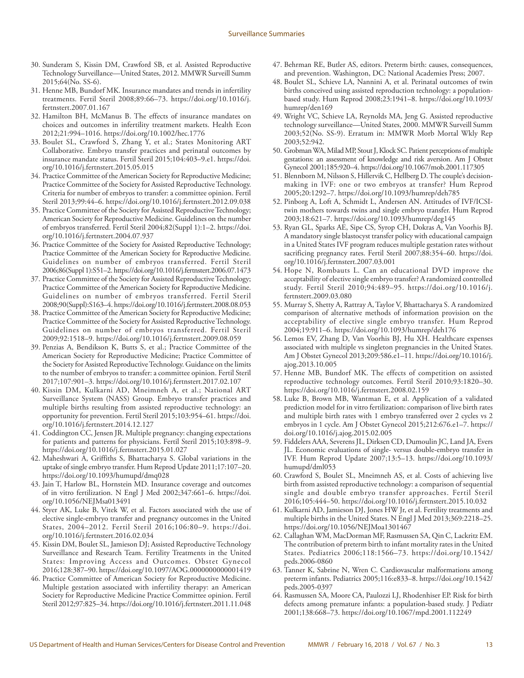- 30. Sunderam S, Kissin DM, Crawford SB, et al. Assisted Reproductive Technology Surveillance—United States, 2012. MMWR Surveill Summ 2015;64(No. SS-6).
- 31. Henne MB, Bundorf MK. Insurance mandates and trends in infertility treatments. Fertil Steril 2008;89:66–73. [https://doi.org/10.1016/j.](https://doi.org/10.1016/j.fertnstert.2007.01.167) [fertnstert.2007.01.167](https://doi.org/10.1016/j.fertnstert.2007.01.167)
- 32. Hamilton BH, McManus B. The effects of insurance mandates on choices and outcomes in infertility treatment markets. Health Econ 2012;21:994–1016. <https://doi.org/10.1002/hec.1776>
- 33. Boulet SL, Crawford S, Zhang Y, et al.; States Monitoring ART Collaborative. Embryo transfer practices and perinatal outcomes by insurance mandate status. Fertil Steril 2015;104:403–9.e1. [https://doi.](https://doi.org/10.1016/j.fertnstert.2015.05.015) [org/10.1016/j.fertnstert.2015.05.015](https://doi.org/10.1016/j.fertnstert.2015.05.015)
- 34. Practice Committee of the American Society for Reproductive Medicine; Practice Committee of the Society for Assisted Reproductive Technology. Criteria for number of embryos to transfer: a committee opinion. Fertil Steril 2013;99:44–6. <https://doi.org/10.1016/j.fertnstert.2012.09.038>
- 35. Practice Committee of the Society for Assisted Reproductive Technology; American Society for Reproductive Medicine. Guidelines on the number of embryos transferred. Fertil Steril 2004;82(Suppl 1):1–2. [https://doi.](https://doi.org/10.1016/j.fertnstert.2004.07.937) [org/10.1016/j.fertnstert.2004.07.937](https://doi.org/10.1016/j.fertnstert.2004.07.937)
- 36. Practice Committee of the Society for Assisted Reproductive Technology; Practice Committee of the American Society for Reproductive Medicine. Guidelines on number of embryos transferred. Fertil Steril 2006;86(Suppl 1):S51–2.<https://doi.org/10.1016/j.fertnstert.2006.07.1473>
- 37. Practice Committee of the Society for Assisted Reproductive Technology; Practice Committee of the American Society for Reproductive Medicine. Guidelines on number of embryos transferred. Fertil Steril 2008;90(Suppl):S163–4.<https://doi.org/10.1016/j.fertnstert.2008.08.053>
- 38. Practice Committee of the American Society for Reproductive Medicine; Practice Committee of the Society for Assisted Reproductive Technology. Guidelines on number of embryos transferred. Fertil Steril 2009;92:1518–9.<https://doi.org/10.1016/j.fertnstert.2009.08.059>
- 39. Penzias A, Bendikson K, Butts S, et al.; Practice Committee of the American Society for Reproductive Medicine; Practice Committee of the Society for Assisted Reproductive Technology. Guidance on the limits to the number of embryos to transfer: a committee opinion. Fertil Steril 2017;107:901–3.<https://doi.org/10.1016/j.fertnstert.2017.02.107>
- 40. Kissin DM, Kulkarni AD, Mneimneh A, et al.; National ART Surveillance System (NASS) Group. Embryo transfer practices and multiple births resulting from assisted reproductive technology: an opportunity for prevention. Fertil Steril 2015;103:954–61. [https://doi.](https://doi.org/10.1016/j.fertnstert.2014.12.127) [org/10.1016/j.fertnstert.2014.12.127](https://doi.org/10.1016/j.fertnstert.2014.12.127)
- 41. Coddington CC, Jensen JR. Multiple pregnancy: changing expectations for patients and patterns for physicians. Fertil Steril 2015;103:898–9. <https://doi.org/10.1016/j.fertnstert.2015.01.027>
- 42. Maheshwari A, Griffiths S, Bhattacharya S. Global variations in the uptake of single embryo transfer. Hum Reprod Update 2011;17:107–20. <https://doi.org/10.1093/humupd/dmq028>
- 43. Jain T, Harlow BL, Hornstein MD. Insurance coverage and outcomes of in vitro fertilization. N Engl J Med 2002;347:661–6. [https://doi.](https://doi.org/10.1056/NEJMsa013491) [org/10.1056/NEJMsa013491](https://doi.org/10.1056/NEJMsa013491)
- 44. Styer AK, Luke B, Vitek W, et al. Factors associated with the use of elective single-embryo transfer and pregnancy outcomes in the United States, 2004–2012. Fertil Steril 2016;106:80–9. [https://doi.](https://doi.org/10.1016/j.fertnstert.2016.02.034) [org/10.1016/j.fertnstert.2016.02.034](https://doi.org/10.1016/j.fertnstert.2016.02.034)
- 45. Kissin DM, Boulet SL, Jamieson DJ; Assisted Reproductive Technology Surveillance and Research Team. Fertility Treatments in the United States: Improving Access and Outcomes. Obstet Gynecol 2016;128:387–90.<https://doi.org/10.1097/AOG.0000000000001419>
- 46. Practice Committee of American Society for Reproductive Medicine. Multiple gestation associated with infertility therapy: an American Society for Reproductive Medicine Practice Committee opinion. Fertil Steril 2012;97:825–34.<https://doi.org/10.1016/j.fertnstert.2011.11.048>
- 47. Behrman RE, Butler AS, editors. Preterm birth: causes, consequences, and prevention. Washington, DC: National Academies Press; 2007.
- 48. Boulet SL, Schieve LA, Nannini A, et al. Perinatal outcomes of twin births conceived using assisted reproduction technology: a populationbased study. Hum Reprod 2008;23:1941–8. [https://doi.org/10.1093/](https://doi.org/10.1093/humrep/den169) [humrep/den169](https://doi.org/10.1093/humrep/den169)
- 49. Wright VC, Schieve LA, Reynolds MA, Jeng G. Assisted reproductive technology surveillance—United States, 2000. MMWR Surveill Summ 2003;52(No. SS-9). Erratum in: MMWR Morb Mortal Wkly Rep 2003;52:942.
- 50. Grobman WA, Milad MP, Stout J, Klock SC. Patient perceptions of multiple gestations: an assessment of knowledge and risk aversion. Am J Obstet Gynecol 2001;185:920–4.<https://doi.org/10.1067/mob.2001.117305>
- 51. Blennborn M, Nilsson S, Hillervik C, Hellberg D. The couple's decisionmaking in IVF: one or two embryos at transfer? Hum Reprod 2005;20:1292–7.<https://doi.org/10.1093/humrep/deh785>
- 52. Pinborg A, Loft A, Schmidt L, Andersen AN. Attitudes of IVF/ICSItwin mothers towards twins and single embryo transfer. Hum Reprod 2003;18:621–7. <https://doi.org/10.1093/humrep/deg145>
- 53. Ryan GL, Sparks AE, Sipe CS, Syrop CH, Dokras A, Van Voorhis BJ. A mandatory single blastocyst transfer policy with educational campaign in a United States IVF program reduces multiple gestation rates without sacrificing pregnancy rates. Fertil Steril 2007;88:354–60. [https://doi.](https://doi.org/10.1016/j.fertnstert.2007.03.001) [org/10.1016/j.fertnstert.2007.03.001](https://doi.org/10.1016/j.fertnstert.2007.03.001)
- 54. Hope N, Rombauts L. Can an educational DVD improve the acceptability of elective single embryo transfer? A randomized controlled study. Fertil Steril 2010;94:489–95. [https://doi.org/10.1016/j.](https://doi.org/10.1016/j.fertnstert.2009.03.080) [fertnstert.2009.03.080](https://doi.org/10.1016/j.fertnstert.2009.03.080)
- 55. Murray S, Shetty A, Rattray A, Taylor V, Bhattacharya S. A randomized comparison of alternative methods of information provision on the acceptability of elective single embryo transfer. Hum Reprod 2004;19:911–6. <https://doi.org/10.1093/humrep/deh176>
- 56. Lemos EV, Zhang D, Van Voorhis BJ, Hu XH. Healthcare expenses associated with multiple vs singleton pregnancies in the United States. Am J Obstet Gynecol 2013;209:586.e1–11. [https://doi.org/10.1016/j.](https://doi.org/10.1016/j.ajog.2013.10.005) [ajog.2013.10.005](https://doi.org/10.1016/j.ajog.2013.10.005)
- 57. Henne MB, Bundorf MK. The effects of competition on assisted reproductive technology outcomes. Fertil Steril 2010;93:1820–30. <https://doi.org/10.1016/j.fertnstert.2008.02.159>
- 58. Luke B, Brown MB, Wantman E, et al. Application of a validated prediction model for in vitro fertilization: comparison of live birth rates and multiple birth rates with 1 embryo transferred over 2 cycles vs 2 embryos in 1 cycle. Am J Obstet Gynecol 2015;212:676.e1–7. [https://](https://doi.org/10.1016/j.ajog.2015.02.005) [doi.org/10.1016/j.ajog.2015.02.005](https://doi.org/10.1016/j.ajog.2015.02.005)
- 59. Fiddelers AAA, Severens JL, Dirksen CD, Dumoulin JC, Land JA, Evers JL. Economic evaluations of single- versus double-embryo transfer in IVF. Hum Reprod Update 2007;13:5–13. [https://doi.org/10.1093/](https://doi.org/10.1093/humupd/dml053) [humupd/dml053](https://doi.org/10.1093/humupd/dml053)
- 60. Crawford S, Boulet SL, Mneimneh AS, et al. Costs of achieving live birth from assisted reproductive technology: a comparison of sequential single and double embryo transfer approaches. Fertil Steril 2016;105:444–50. <https://doi.org/10.1016/j.fertnstert.2015.10.032>
- 61. Kulkarni AD, Jamieson DJ, Jones HW Jr, et al. Fertility treatments and multiple births in the United States. N Engl J Med 2013;369:2218–25. <https://doi.org/10.1056/NEJMoa1301467>
- 62. Callaghan WM, MacDorman MF, Rasmussen SA, Qin C, Lackritz EM. The contribution of preterm birth to infant mortality rates in the United States. Pediatrics 2006;118:1566–73. [https://doi.org/10.1542/](https://doi.org/10.1542/peds.2006-0860) [peds.2006-0860](https://doi.org/10.1542/peds.2006-0860)
- 63. Tanner K, Sabrine N, Wren C. Cardiovascular malformations among preterm infants. Pediatrics 2005;116:e833–8. [https://doi.org/10.1542/](https://doi.org/10.1542/peds.2005-0397) [peds.2005-0397](https://doi.org/10.1542/peds.2005-0397)
- 64. Rasmussen SA, Moore CA, Paulozzi LJ, Rhodenhiser EP. Risk for birth defects among premature infants: a population-based study. J Pediatr 2001;138:668–73. <https://doi.org/10.1067/mpd.2001.112249>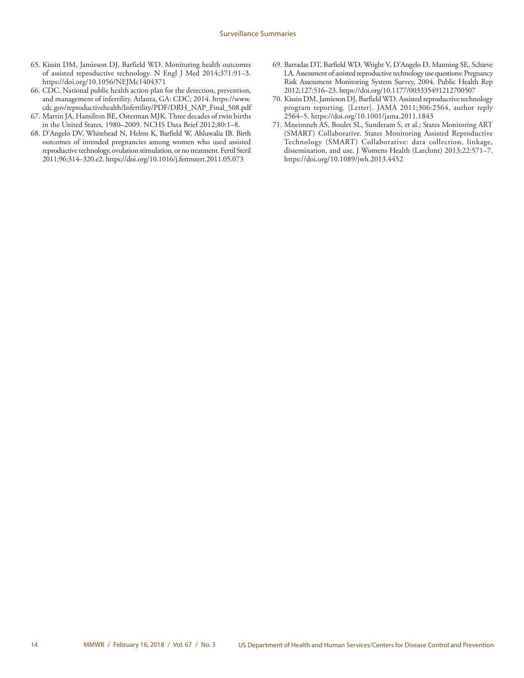- 65. Kissin DM, Jamieson DJ, Barfield WD. Monitoring health outcomes of assisted reproductive technology. N Engl J Med 2014;371:91–3. <https://doi.org/10.1056/NEJMc1404371>
- 66. CDC. National public health action plan for the detection, prevention, and management of infertility. Atlanta, GA: CDC; 2014. [https://www.](https://www.cdc.gov/reproductivehealth/Infertility/PDF/DRH_NAP_Final_508.pdf) [cdc.gov/reproductivehealth/Infertility/PDF/DRH\\_NAP\\_Final\\_508.pdf](https://www.cdc.gov/reproductivehealth/Infertility/PDF/DRH_NAP_Final_508.pdf)
- 67. Martin JA, Hamilton BE, Osterman MJK. Three decades of twin births in the United States, 1980–2009. NCHS Data Brief 2012;80:1–8.
- 68. D'Angelo DV, Whitehead N, Helms K, Barfield W, Ahluwalia IB. Birth outcomes of intended pregnancies among women who used assisted reproductive technology, ovulation stimulation, or no treatment. Fertil Steril 2011;96:314–320.e2. <https://doi.org/10.1016/j.fertnstert.2011.05.073>
- 69. Barradas DT, Barfield WD, Wright V, D'Angelo D, Manning SE, Schieve LA. Assessment of assisted reproductive technology use questions: Pregnancy Risk Assessment Monitoring System Survey, 2004. Public Health Rep 2012;127:516–23. <https://doi.org/10.1177/003335491212700507>
- 70. Kissin DM, Jamieson DJ, Barfield WD. Assisted reproductive technology program reporting. [Letter]. JAMA 2011;306:2564, author reply 2564–5. <https://doi.org/10.1001/jama.2011.1843>
- 71. Mneimneh AS, Boulet SL, Sunderam S, et al.; States Monitoring ART (SMART) Collaborative. States Monitoring Assisted Reproductive Technology (SMART) Collaborative: data collection, linkage, dissemination, and use. J Womens Health (Larchmt) 2013;22:571–7. <https://doi.org/10.1089/jwh.2013.4452>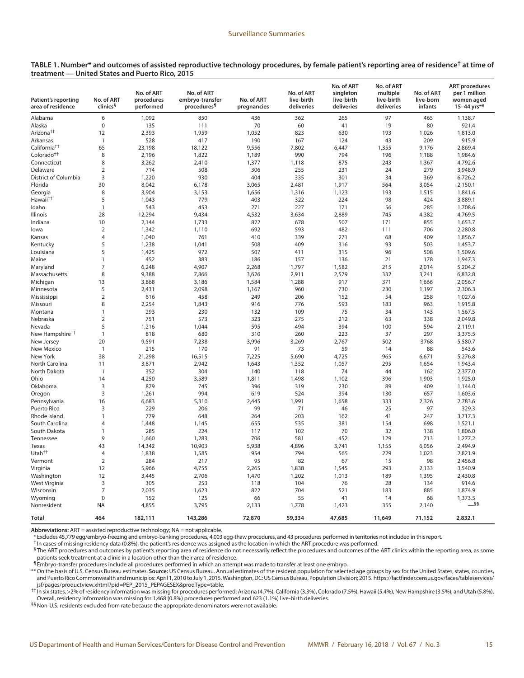| TABLE 1. Number* and outcomes of assisted reproductive technology procedures, by female patient's reporting area of residence <sup>†</sup> at time of |  |
|-------------------------------------------------------------------------------------------------------------------------------------------------------|--|
| treatment — United States and Puerto Rico, 2015                                                                                                       |  |

| <b>Patient's reporting</b><br>area of residence | No. of ART<br>clinics <sup>§</sup> | No. of ART<br>procedures<br>performed | No. of ART<br>embryo-transfer<br>procedures <sup>11</sup> | No. of ART<br>pregnancies | No. of ART<br>live-birth<br>deliveries | No. of ART<br>singleton<br>live-birth<br>deliveries | No. of ART<br>multiple<br>live-birth<br>deliveries | No. of ART<br>live-born<br>infants | <b>ART</b> procedures<br>per 1 million<br>women aged<br>15-44 yrs** |
|-------------------------------------------------|------------------------------------|---------------------------------------|-----------------------------------------------------------|---------------------------|----------------------------------------|-----------------------------------------------------|----------------------------------------------------|------------------------------------|---------------------------------------------------------------------|
| Alabama                                         | 6                                  | 1.092                                 | 850                                                       | 436                       | 362                                    | 265                                                 | 97                                                 | 465                                | 1,138.7                                                             |
| Alaska                                          | $\mathbf 0$                        | 135                                   | 111                                                       | 70                        | 60                                     | 41                                                  | 19                                                 | 80                                 | 921.4                                                               |
| Arizona <sup>††</sup>                           | 12                                 | 2,393                                 | 1.959                                                     | 1,052                     | 823                                    | 630                                                 | 193                                                | 1,026                              | 1,813.0                                                             |
| Arkansas                                        | $\mathbf{1}$                       | 528                                   | 417                                                       | 190                       | 167                                    | 124                                                 | 43                                                 | 209                                | 915.9                                                               |
| California <sup>††</sup>                        | 65                                 | 23,198                                | 18,122                                                    | 9,556                     | 7,802                                  | 6,447                                               | 1,355                                              | 9,176                              | 2,869.4                                                             |
| Colorado <sup>††</sup>                          | 8                                  | 2,196                                 | 1,822                                                     | 1,189                     | 990                                    | 794                                                 | 196                                                | 1,188                              | 1,984.6                                                             |
| Connecticut                                     | 8                                  | 3,262                                 | 2,410                                                     | 1,377                     | 1,118                                  | 875                                                 | 243                                                | 1,367                              | 4,792.6                                                             |
| Delaware                                        | $\overline{2}$                     | 714                                   | 508                                                       | 306                       | 255                                    | 231                                                 | 24                                                 | 279                                | 3,948.9                                                             |
| District of Columbia                            | 3                                  | 1,220                                 | 930                                                       | 404                       | 335                                    | 301                                                 | 34                                                 | 369                                | 6,726.2                                                             |
| Florida                                         | 30                                 | 8,042                                 | 6,178                                                     | 3,065                     | 2,481                                  | 1,917                                               | 564                                                | 3,054                              | 2,150.1                                                             |
| Georgia                                         | 8                                  | 3.904                                 | 3,153                                                     | 1,656                     | 1,316                                  | 1,123                                               | 193                                                | 1,515                              | 1,841.6                                                             |
| Hawaii <sup>††</sup>                            | 5                                  | 1,043                                 | 779                                                       | 403                       | 322                                    | 224                                                 | 98                                                 | 424                                | 3,889.1                                                             |
| Idaho                                           | $\mathbf{1}$                       | 543                                   | 453                                                       | 271                       | 227                                    | 171                                                 | 56                                                 | 285                                | 1,708.6                                                             |
| Illinois                                        | 28                                 | 12,294                                | 9,434                                                     | 4,532                     | 3,634                                  | 2,889                                               | 745                                                | 4,382                              | 4,769.5                                                             |
| Indiana                                         | 10                                 | 2,144                                 | 1,733                                                     | 822                       | 678                                    | 507                                                 | 171                                                | 855                                | 1,653.7                                                             |
| lowa                                            | $\mathbf 2$                        | 1,342                                 | 1,110                                                     | 692                       | 593                                    | 482                                                 | 111                                                | 706                                | 2,280.8                                                             |
| Kansas                                          | $\overline{4}$                     | 1,040                                 | 761                                                       | 410                       | 339                                    | 271                                                 | 68                                                 | 409                                | 1,856.7                                                             |
| Kentucky                                        | 5                                  | 1,238                                 | 1,041                                                     | 508                       | 409                                    | 316                                                 | 93                                                 | 503                                | 1,453.7                                                             |
| Louisiana                                       | 5                                  | 1,425                                 | 972                                                       | 507                       | 411                                    | 315                                                 | 96                                                 | 508                                | 1,509.6                                                             |
| Maine                                           | $\mathbf{1}$                       | 452                                   | 383                                                       | 186                       | 157                                    | 136                                                 | 21                                                 | 178                                | 1,947.3                                                             |
| Maryland                                        | $\overline{7}$                     | 6,248                                 | 4,907                                                     | 2,268                     | 1,797                                  | 1,582                                               | 215                                                | 2,014                              | 5,204.2                                                             |
| Massachusetts                                   | 8                                  | 9,388                                 | 7,866                                                     | 3,626                     | 2,911                                  | 2,579                                               | 332                                                | 3,241                              | 6,832.8                                                             |
| Michigan                                        | 13                                 | 3,868                                 | 3,186                                                     | 1,584                     | 1,288                                  | 917                                                 | 371                                                | 1,666                              | 2,056.7                                                             |
| Minnesota                                       | 5                                  | 2,431                                 | 2,098                                                     | 1,167                     | 960                                    | 730                                                 | 230                                                | 1,197                              | 2,306.3                                                             |
| Mississippi                                     | $\overline{2}$                     | 616                                   | 458                                                       | 249                       | 206                                    | 152                                                 | 54                                                 | 258                                | 1,027.6                                                             |
| Missouri                                        | 8                                  | 2,254                                 | 1,843                                                     | 916                       | 776                                    | 593                                                 | 183                                                | 963                                | 1,915.8                                                             |
| Montana                                         | $\mathbf{1}$                       | 293                                   | 230                                                       | 132                       | 109                                    | 75                                                  | 34                                                 | 143                                | 1,567.5                                                             |
| Nebraska                                        | $\overline{2}$                     | 751                                   | 573                                                       | 323                       | 275                                    | 212                                                 | 63                                                 | 338                                | 2,049.8                                                             |
| Nevada                                          | 5                                  | 1,216                                 | 1.044                                                     | 595                       | 494                                    | 394                                                 | 100                                                | 594                                | 2,119.1                                                             |
| New Hampshire <sup>tt</sup>                     | $\mathbf{1}$                       | 818                                   | 680                                                       | 310                       | 260                                    | 223                                                 | 37                                                 | 297                                | 3,375.5                                                             |
| New Jersey                                      | 20                                 | 9,591                                 | 7,238                                                     | 3,996                     | 3,269                                  | 2,767                                               | 502                                                | 3768                               | 5,580.7                                                             |
| New Mexico                                      | $\overline{1}$                     | 215                                   | 170                                                       | 91                        | 73                                     | 59                                                  | 14                                                 | 88                                 | 543.6                                                               |
| New York                                        | 38                                 | 21,298                                | 16,515                                                    | 7,225                     | 5,690                                  | 4,725                                               | 965                                                | 6,671                              | 5,276.8                                                             |
| North Carolina                                  | 11                                 | 3,871                                 | 2,942                                                     | 1,643                     | 1,352                                  | 1,057                                               | 295                                                | 1,654                              | 1,943.4                                                             |
| North Dakota                                    | $\overline{1}$                     | 352                                   | 304                                                       | 140                       | 118                                    | 74                                                  | 44                                                 | 162                                | 2,377.0                                                             |
| Ohio                                            | 14                                 | 4,250                                 | 3,589                                                     | 1,811                     | 1,498                                  | 1,102                                               | 396                                                | 1,903                              | 1,925.0                                                             |
| Oklahoma                                        | $\overline{3}$                     | 879                                   | 745                                                       | 396                       | 319                                    | 230                                                 | 89                                                 | 409                                | 1.144.0                                                             |
| Oregon                                          | $\overline{3}$                     | 1.261                                 | 994                                                       | 619                       | 524                                    | 394                                                 | 130                                                | 657                                | 1.603.6                                                             |
| Pennsylvania                                    | 16                                 | 6,683                                 | 5,310                                                     | 2,445                     | 1,991                                  | 1,658                                               | 333                                                | 2,326                              | 2,783.6                                                             |
| Puerto Rico                                     | 3                                  | 229                                   | 206                                                       | 99                        | 71                                     | 46                                                  | 25                                                 | 97                                 | 329.3                                                               |
| Rhode Island                                    | $\mathbf{1}$                       | 779                                   | 648                                                       | 264                       | 203                                    | 162                                                 | 41                                                 | 247                                | 3,717.3                                                             |
| South Carolina                                  | $\overline{4}$                     | 1,448                                 | 1,145                                                     | 655                       | 535                                    | 381                                                 | 154                                                | 698                                | 1,521.1                                                             |
| South Dakota                                    | $\mathbf{1}$                       | 285                                   | 224                                                       | 117                       | 102                                    | 70                                                  | 32                                                 | 138                                | 1,806.0                                                             |
| Tennessee                                       | 9                                  | 1,660                                 | 1,283                                                     | 706                       | 581                                    | 452                                                 | 129                                                | 713                                | 1,277.2                                                             |
| Texas                                           | 43                                 | 14,342                                | 10,903                                                    | 5,938                     | 4,896                                  | 3,741                                               | 1,155                                              | 6,056                              | 2,494.9                                                             |
| Utah <sup>††</sup>                              | $\overline{4}$                     | 1,838                                 | 1,585                                                     | 954                       | 794                                    | 565                                                 | 229                                                | 1,023                              | 2,821.9                                                             |
| Vermont                                         | $\overline{2}$                     | 284                                   | 217                                                       | 95                        | 82                                     | 67                                                  | 15                                                 | 98                                 | 2,456.8                                                             |
| Virginia                                        | 12                                 | 5,966                                 | 4,755                                                     | 2,265                     | 1,838                                  | 1,545                                               | 293                                                | 2,133                              | 3,540.9                                                             |
| Washington                                      | 12                                 | 3,445                                 | 2,706                                                     | 1,470                     | 1,202                                  | 1,013                                               | 189                                                | 1,395                              | 2,430.8                                                             |
| West Virginia                                   | 3                                  | 305                                   | 253                                                       | 118                       | 104                                    | 76                                                  | 28                                                 | 134                                | 914.6                                                               |
| Wisconsin                                       | $\overline{7}$                     | 2,035                                 | 1,623                                                     | 822                       | 704                                    | 521                                                 | 183                                                | 885                                | 1,874.9                                                             |
| Wyoming                                         | $\mathbf 0$                        | 152                                   | 125                                                       | 66                        | 55                                     | 41                                                  | 14                                                 | 68                                 | 1,373.5                                                             |
| Nonresident                                     | <b>NA</b>                          | 4,855                                 | 3,795                                                     | 2,133                     | 1,778                                  | 1,423                                               | 355                                                | 2,140                              | _§§                                                                 |
| Total                                           | 464                                | 182,111                               | 143,286                                                   | 72,870                    | 59,334                                 | 47,685                                              | 11,649                                             | 71,152                             | 2,832.1                                                             |

**Abbreviations:** ART = assisted reproductive technology; NA = not applicable.

\* Excludes 45,779 egg/embryo-freezing and embryo-banking procedures, 4,003 egg-thaw procedures, and 43 procedures performed in territories not included in this report.

† In cases of missing residency data (0.8%), the patient's residence was assigned as the location in which the ART procedure was performed.

<sup>§</sup> The ART procedures and outcomes by patient's reporting area of residence do not necessarily reflect the procedures and outcomes of the ART clinics within the reporting area, as some patients seek treatment at a clinic in a location other than their area of residence.

¶ Embryo-transfer procedures include all procedures performed in which an attempt was made to transfer at least one embryo.

\*\*On the basis of U.S. Census Bureau estimates. **Source:** US Census Bureau. Annual estimates of the resident population for selected age groups by sex for the United States, states, counties, and Puerto Rico Commonwealth and municipios: April 1, 2010 to July 1, 2015. Washington, DC: US Census Bureau, Population Division; 2015. [https://factfinder.census.gov/faces/tableservices/](https://factfinder.census.gov/faces/tableservices/jsf/pages/productview.xhtml?pid=PEP_2015_PEPAGESEX&prodType=table) [jsf/pages/productview.xhtml?pid=PEP\\_2015\\_PEPAGESEX&prodType=table.](https://factfinder.census.gov/faces/tableservices/jsf/pages/productview.xhtml?pid=PEP_2015_PEPAGESEX&prodType=table)

†† In six states, >2% of residency information was missing for procedures performed: Arizona (4.7%), California (3.3%), Colorado (7.5%), Hawaii (5.4%), New Hampshire (3.5%), and Utah (5.8%). Overall, residency information was missing for 1,468 (0.8%) procedures performed and 623 (1.1%) live-birth deliveries.

§§ Non-U.S. residents excluded from rate because the appropriate denominators were not available.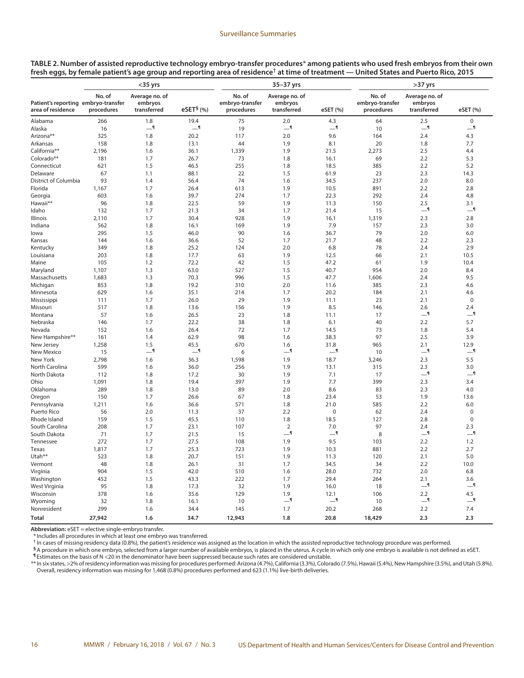|                                                          |                      | $<$ 35 yrs                               |                       |                                         | 35-37 yrs                                |                  | >37 yrs                                 |                                          |                     |  |
|----------------------------------------------------------|----------------------|------------------------------------------|-----------------------|-----------------------------------------|------------------------------------------|------------------|-----------------------------------------|------------------------------------------|---------------------|--|
| Patient's reporting embryo-transfer<br>area of residence | No. of<br>procedures | Average no. of<br>embryos<br>transferred | eSET <sup>§</sup> (%) | No. of<br>embryo-transfer<br>procedures | Average no. of<br>embryos<br>transferred | eSET (%)         | No. of<br>embryo-transfer<br>procedures | Average no. of<br>embryos<br>transferred | eSET (%)            |  |
| Alabama                                                  | 266                  | 1.8                                      | 19.4                  | 75                                      | 2.0                                      | 4.3              | 64                                      | 2.5                                      | $\pmb{0}$           |  |
| Alaska                                                   | 16                   | —¶                                       | —¶                    | 19                                      | $-1$                                     | $-1$             | 10                                      | $-1$                                     | —¶                  |  |
| Arizona**                                                | 325                  | 1.8                                      | 20.2                  | 117                                     | 2.0                                      | 9.6              | 164                                     | 2.4                                      | 4.3                 |  |
| Arkansas                                                 | 158                  | 1.8                                      | 13.1                  | 44                                      | 1.9                                      | 8.1              | 20                                      | 1.8                                      | 7.7                 |  |
| California**                                             | 2,196                | 1.6                                      | 36.1                  | 1,339                                   | 1.9                                      | 21.5             | 2,273                                   | 2.5                                      | 4.4                 |  |
| Colorado**                                               | 181                  | 1.7                                      | 26.7                  | 73                                      | 1.8                                      | 16.1             | 69                                      | 2.2                                      | 5.3                 |  |
| Connecticut                                              | 621                  | 1.5                                      | 46.5                  | 255                                     | 1.8                                      | 18.5             | 385                                     | 2.2                                      | 5.2                 |  |
| Delaware                                                 | 67                   | 1.1                                      | 88.1                  | 22                                      | 1.5                                      | 61.9             | 23                                      | 2.3                                      | 14.3                |  |
| District of Columbia                                     | 93                   | 1.4                                      | 56.4                  | 74                                      | 1.6                                      | 34.5             | 237                                     | 2.0                                      | 8.0                 |  |
| Florida                                                  | 1,167                | 1.7                                      | 26.4                  | 613                                     | 1.9                                      | 10.5             | 891                                     | 2.2                                      | 2.8                 |  |
| Georgia                                                  | 603                  | 1.6                                      | 39.7                  | 274                                     | 1.7                                      | 22.3             | 292                                     | 2.4                                      | 4.8                 |  |
| Hawaii**                                                 | 96                   | 1.8                                      | 22.5                  | 59                                      | 1.9                                      | 11.3             | 150                                     | 2.5                                      | 3.1                 |  |
| Idaho                                                    | 132                  | 1.7                                      | 21.3                  | 34                                      | 1.7                                      | 21.4             | 15                                      | <u>_</u> ¶                               | —¶                  |  |
| Illinois                                                 | 2,110                | 1.7                                      | 30.4                  | 928                                     | 1.9                                      | 16.1             | 1,319                                   | 2.3                                      | 2.8                 |  |
| Indiana                                                  | 562                  | 1.8                                      | 16.1                  | 169                                     | 1.9                                      | 7.9              | 157                                     | 2.3                                      | 3.0                 |  |
| lowa                                                     | 295                  | 1.5                                      | 46.0                  | 90                                      | 1.6                                      | 36.7             | 79                                      | 2.0                                      | 6.0                 |  |
| Kansas                                                   | 144                  | 1.6                                      | 36.6                  | 52                                      | 1.7                                      | 21.7             | 48                                      | 2.2                                      | 2.3                 |  |
| Kentucky                                                 | 349                  | 1.8                                      | 25.2                  | 124                                     | 2.0                                      | 6.8              | 78                                      | 2.4                                      | 2.9                 |  |
| Louisiana                                                | 203                  | 1.8                                      | 17.7                  | 63                                      | 1.9                                      | 12.5             | 66                                      | 2.1                                      | 10.5                |  |
| Maine                                                    | 105                  | 1.2                                      | 72.2                  | 42                                      | 1.5                                      | 47.2             | 61                                      | 1.9                                      | 10.4                |  |
| Maryland                                                 | 1,107                | 1.3                                      | 63.0                  | 527                                     | 1.5                                      | 40.7             | 954                                     | 2.0                                      | 8.4                 |  |
| Massachusetts                                            | 1,683                | 1.3                                      | 70.3                  | 996                                     | 1.5                                      | 47.7             | 1,606                                   | 2.4                                      | 9.5                 |  |
| Michigan                                                 | 853                  | 1.8                                      | 19.2                  | 310                                     | 2.0                                      | 11.6             | 385                                     | 2.3                                      | 4.6                 |  |
| Minnesota                                                | 629                  | 1.6                                      | 35.1                  | 214                                     | 1.7                                      | 20.2             | 184                                     | 2.1                                      | 4.6                 |  |
| Mississippi                                              | 111                  | 1.7                                      | 26.0                  | 29                                      | 1.9                                      | 11.1             | 23                                      | 2.1                                      | $\pmb{0}$           |  |
| Missouri                                                 | 517                  | 1.8                                      | 13.6                  | 156                                     | 1.9                                      | 8.5              | 146                                     | 2.6                                      | 2.4                 |  |
| Montana                                                  | 57                   | 1.6                                      | 26.5                  | 23                                      | 1.8                                      | 11.1             | 17                                      | $-1$                                     | —¶                  |  |
| Nebraska                                                 | 146                  | 1.7                                      | 22.2                  | 38                                      | 1.8                                      | 6.1              | 40                                      | 2.2                                      | 5.7                 |  |
| Nevada                                                   | 152                  | 1.6                                      | 26.4                  | 72                                      | 1.7                                      | 14.5             | 73                                      | 1.8                                      | 5.4                 |  |
| New Hampshire**                                          | 161                  | 1.4                                      | 62.9                  | 98                                      | 1.6                                      | 38.3             | 97                                      | 2.5                                      | 3.9                 |  |
| New Jersey                                               | 1,258                | 1.5                                      | 45.5                  | 670                                     | 1.6                                      | 31.8             | 965                                     | 2.1                                      | 12.9                |  |
| New Mexico                                               | 15                   | _¶                                       | —¶                    | 6                                       | —¶                                       | —¶               | 10                                      | —¶                                       | $-1$                |  |
| New York                                                 | 2,798                | 1.6                                      | 36.3                  | 1,598                                   | 1.9                                      | 18.7             | 3,246                                   | 2.3                                      | 5.5                 |  |
| North Carolina                                           | 599                  | 1.6                                      | 36.0                  | 256                                     | 1.9                                      | 13.1             | 315                                     | 2.3                                      | 3.0                 |  |
| North Dakota                                             | 112                  | 1.8                                      | 17.2                  | 30                                      | 1.9                                      | 7.1              | 17                                      | $-1$                                     | —¶                  |  |
| Ohio                                                     | 1,091                | 1.8                                      | 19.4                  | 397                                     | 1.9                                      | 7.7              | 399                                     | 2.3                                      | 3.4                 |  |
| Oklahoma                                                 | 289                  | 1.8                                      | 13.0                  | 89                                      | 2.0                                      | 8.6              | 83                                      | 2.3                                      | 4.0                 |  |
| Oregon                                                   | 150                  | 1.7                                      | 26.6                  | 67                                      | 1.8                                      | 23.4             | 53                                      | 1.9                                      | 13.6                |  |
| Pennsylvania                                             | 1,211                | 1.6                                      | 36.6                  | 571                                     | 1.8                                      | 21.0             | 585                                     | 2.2                                      | 6.0                 |  |
| Puerto Rico                                              | 56                   | 2.0                                      | 11.3                  | 37                                      | 2.2                                      | $\boldsymbol{0}$ | 62                                      | 2.4                                      | $\mathbf 0$         |  |
| Rhode Island                                             | 159                  | 1.5                                      | 45.5                  | 110                                     | 1.8                                      | 18.5             | 127                                     | 2.8                                      | $\mathsf{O}\xspace$ |  |
|                                                          | 208                  | 1.7                                      | 23.1                  | 107                                     | 2                                        | 7.0              | 97                                      | 2.4                                      | 2.3                 |  |
| South Carolina                                           |                      | 1.7                                      | 21.5                  | 15                                      | $-1$                                     | $-1$             | 8                                       | –¶                                       | <u>_</u> ¶          |  |
| South Dakota                                             | 71<br>272            |                                          |                       | 108                                     | 1.9                                      | 9.5              |                                         | 2.2                                      | 1.2                 |  |
| Tennessee                                                |                      | 1.7                                      | 27.5                  |                                         |                                          |                  | 103                                     |                                          |                     |  |
| Texas                                                    | 1,817                | 1.7                                      | 25.3                  | 723                                     | 1.9                                      | 10.3             | 881                                     | 2.2                                      | 2.7                 |  |
| Utah**                                                   | 523                  | 1.8                                      | 20.7                  | 151                                     | 1.9                                      | 11.3             | 120                                     | 2.1                                      | 5.0                 |  |
| Vermont                                                  | 48                   | 1.8                                      | 26.1                  | 31                                      | 1.7                                      | 34.5             | 34                                      | 2.2                                      | 10.0                |  |
| Virginia                                                 | 904                  | 1.5                                      | 42.0                  | 510                                     | 1.6                                      | 28.0             | 732                                     | 2.0                                      | 6.8                 |  |
| Washington                                               | 452                  | 1.5                                      | 43.3                  | 222                                     | 1.7                                      | 29.4             | 264                                     | 2.1                                      | 3.6                 |  |
| <b>West Virginia</b>                                     | 95                   | 1.8                                      | 17.3                  | 32                                      | 1.9                                      | 16.0             | 18                                      | —¶                                       | —¶                  |  |
| Wisconsin                                                | 378                  | 1.6                                      | 35.6                  | 129                                     | 1.9                                      | 12.1             | 106                                     | 2.2                                      | 4.5                 |  |
| Wyoming                                                  | 32                   | 1.8                                      | 16.1                  | 10                                      | $-1$                                     | –¶               | 10                                      | $-1$                                     | —¶                  |  |
| Nonresident                                              | 299                  | 1.6                                      | 34.4                  | 145                                     | 1.7                                      | 20.2             | 268                                     | 2.2                                      | 7.4                 |  |
| <b>Total</b>                                             | 27,942               | 1.6                                      | 34.7                  | 12,943                                  | 1.8                                      | 20.8             | 18,429                                  | 2.3                                      | 2.3                 |  |

**TABLE 2. Number of assisted reproductive technology embryo-transfer procedures**\* **among patients who used fresh embryos from their own fresh eggs, by female patient's age group and reporting area of residence**† **at time of treatment — United States and Puerto Rico, 2015**

**Abbreviation:** eSET = elective single-embryo transfer.

\* Includes all procedures in which at least one embryo was transferred.

 $<sup>†</sup>$  In cases of missing residency data (0.8%), the patient's residence was assigned as the location in which the assisted reproductive technology procedure was performed.</sup>

§ A procedure in which one embryo, selected from a larger number of available embryos, is placed in the uterus. A cycle in which only one embryo is available is not defined as eSET.<br>¶Estimates on the basis of N <20 in the

\*\* In six states, >2% of residency information was missing for procedures performed: Arizona (4.7%), California (3.3%), Colorado (7.5%), Hawaii (5.4%), New Hampshire (3.5%), and Utah (5.8%). Overall, residency information was missing for 1,468 (0.8%) procedures performed and 623 (1.1%) live-birth deliveries.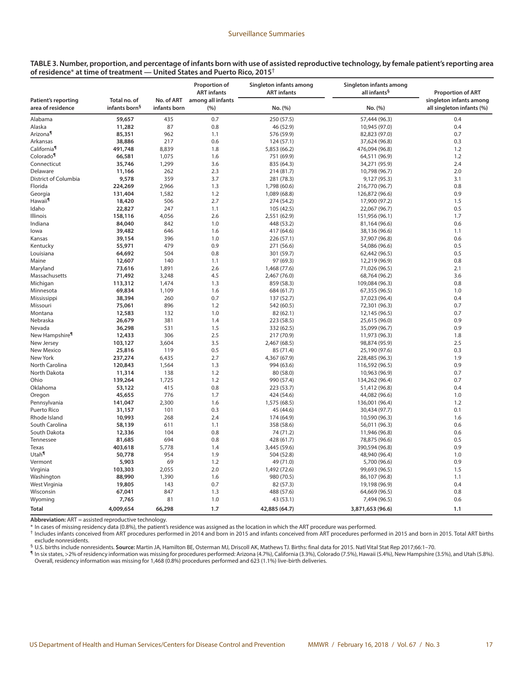|                                          |                                           |                            | Proportion of<br><b>ART</b> infants | Singleton infants among<br><b>ART</b> infants | Singleton infants among<br>all infants <sup>§</sup> | <b>Proportion of ART</b>                             |
|------------------------------------------|-------------------------------------------|----------------------------|-------------------------------------|-----------------------------------------------|-----------------------------------------------------|------------------------------------------------------|
| Patient's reporting<br>area of residence | Total no. of<br>infants born <sup>§</sup> | No. of ART<br>infants born | among all infants<br>(%)            | No. (%)                                       | No. (%)                                             | singleton infants among<br>all singleton infants (%) |
| Alabama                                  | 59,657                                    | 435                        | 0.7                                 | 250 (57.5)                                    | 57,444 (96.3)                                       | 0.4                                                  |
| Alaska                                   | 11,282                                    | 87                         | 0.8                                 | 46 (52.9)                                     | 10,945 (97.0)                                       | 0.4                                                  |
| Arizona¶                                 | 85,351                                    | 962                        | 1.1                                 | 576 (59.9)                                    | 82,823 (97.0)                                       | 0.7                                                  |
| Arkansas                                 | 38,886                                    | 217                        | 0.6                                 | 124(57.1)                                     | 37,624 (96.8)                                       | 0.3                                                  |
| California <sup>¶</sup>                  | 491,748                                   | 8,839                      | 1.8                                 | 5,853 (66.2)                                  | 476,094 (96.8)                                      | 1.2                                                  |
| Colorado <sup>¶</sup>                    | 66,581                                    | 1,075                      | 1.6                                 | 751 (69.9)                                    | 64,511 (96.9)                                       | 1.2                                                  |
| Connecticut                              | 35,746                                    | 1,299                      | 3.6                                 | 835 (64.3)                                    | 34,271 (95.9)                                       | 2.4                                                  |
| Delaware                                 | 11,166                                    | 262                        | 2.3                                 | 214 (81.7)                                    | 10,798 (96.7)                                       | 2.0                                                  |
| District of Columbia                     | 9,578                                     | 359                        | 3.7                                 | 281 (78.3)                                    | 9,127 (95.3)                                        | 3.1                                                  |
| Florida                                  | 224,269                                   | 2,966                      | 1.3                                 | 1,798 (60.6)                                  | 216,770 (96.7)                                      | 0.8                                                  |
| Georgia                                  | 131,404                                   | 1,582                      | 1.2                                 | 1,089 (68.8)                                  | 126,872 (96.6)                                      | 0.9                                                  |
| Hawaii¶                                  | 18,420                                    | 506                        | 2.7                                 | 274 (54.2)                                    | 17,900 (97.2)                                       | 1.5                                                  |
| ldaho                                    | 22,827                                    | 247                        | 1.1                                 | 105 (42.5)                                    | 22,067 (96.7)                                       | 0.5                                                  |
| Illinois                                 | 158,116                                   | 4,056                      | 2.6                                 | 2,551 (62.9)                                  | 151,956 (96.1)                                      | 1.7                                                  |
| Indiana                                  | 84,040                                    | 842                        | 1.0                                 | 448 (53.2)                                    | 81,164 (96.6)                                       | 0.6                                                  |
| lowa                                     | 39,482                                    | 646                        | 1.6                                 | 417 (64.6)                                    | 38,136 (96.6)                                       | 1.1                                                  |
| Kansas                                   | 39,154                                    | 396                        | 1.0                                 | 226 (57.1)                                    | 37,907 (96.8)                                       | 0.6                                                  |
| Kentucky                                 | 55,971                                    | 479                        | 0.9                                 | 271 (56.6)                                    | 54,086 (96.6)                                       | 0.5                                                  |
| Louisiana                                | 64,692                                    | 504                        | 0.8                                 | 301 (59.7)                                    | 62,442 (96.5)                                       | 0.5                                                  |
| Maine                                    | 12,607                                    | 140                        | 1.1                                 | 97 (69.3)                                     | 12,219 (96.9)                                       | 0.8                                                  |
| Maryland                                 | 73,616                                    | 1,891                      | 2.6                                 | 1,468 (77.6)                                  | 71,026 (96.5)                                       | 2.1                                                  |
| Massachusetts                            | 71,492                                    | 3,248                      | 4.5                                 | 2,467 (76.0)                                  | 68,764 (96.2)                                       | 3.6                                                  |
| Michigan                                 | 113,312                                   | 1,474                      | 1.3                                 | 859 (58.3)                                    | 109,084 (96.3)                                      | 0.8                                                  |
| Minnesota                                | 69,834                                    | 1,109                      | 1.6                                 | 684 (61.7)                                    | 67,355 (96.5)                                       | 1.0                                                  |
| Mississippi                              | 38,394                                    | 260                        | 0.7                                 | 137 (52.7)                                    | 37,023 (96.4)                                       | 0.4                                                  |
| Missouri                                 | 75,061                                    | 896                        | 1.2                                 | 542 (60.5)                                    | 72,301 (96.3)                                       | 0.7                                                  |
| Montana                                  | 12,583                                    | 132                        | 1.0                                 | 82(62.1)                                      | 12,145 (96.5)                                       | 0.7                                                  |
| Nebraska                                 | 26,679                                    | 381                        | 1.4                                 | 223 (58.5)                                    | 25,615 (96.0)                                       | 0.9                                                  |
| Nevada                                   | 36,298                                    | 531                        | 1.5                                 | 332 (62.5)                                    | 35,099 (96.7)                                       | 0.9                                                  |
| New Hampshire <sup>¶</sup>               | 12,433                                    | 306                        | 2.5                                 | 217 (70.9)                                    | 11,973 (96.3)                                       | 1.8                                                  |
| New Jersey                               | 103,127                                   | 3,604                      | 3.5                                 | 2,467 (68.5)                                  | 98,874 (95.9)                                       | 2.5                                                  |
| New Mexico                               | 25,816                                    | 119                        | 0.5                                 | 85 (71.4)                                     | 25,190 (97.6)                                       | 0.3                                                  |
| New York                                 | 237,274                                   | 6,435                      | 2.7                                 | 4,367 (67.9)                                  | 228,485 (96.3)                                      | 1.9                                                  |
| North Carolina                           | 120,843                                   | 1,564                      | 1.3                                 | 994 (63.6)                                    | 116,592 (96.5)                                      | 0.9                                                  |
| North Dakota                             | 11,314                                    | 138                        | 1.2                                 | 80 (58.0)                                     | 10,963 (96.9)                                       | 0.7                                                  |
| Ohio                                     | 139,264                                   | 1,725                      | 1.2                                 | 990 (57.4)                                    | 134,262 (96.4)                                      | 0.7                                                  |
| Oklahoma                                 | 53,122                                    | 415                        | 0.8                                 | 223 (53.7)                                    | 51,412 (96.8)                                       | 0.4                                                  |
| Oregon                                   | 45,655                                    | 776                        | 1.7                                 | 424 (54.6)                                    | 44,082 (96.6)                                       | 1.0                                                  |
| Pennsylvania                             | 141,047                                   | 2,300                      | 1.6                                 | 1,575 (68.5)                                  | 136,001 (96.4)                                      | 1.2                                                  |
| Puerto Rico                              | 31,157                                    | 101                        | 0.3                                 | 45 (44.6)                                     | 30,434 (97.7)                                       | 0.1                                                  |
| Rhode Island                             | 10,993                                    | 268                        | 2.4                                 | 174 (64.9)                                    | 10,590 (96.3)                                       | 1.6                                                  |
| South Carolina                           | 58,139                                    | 611                        | 1.1                                 | 358 (58.6)                                    | 56,011 (96.3)                                       | 0.6                                                  |
| South Dakota                             | 12,336                                    | 104                        | 0.8                                 | 74 (71.2)                                     | 11,946 (96.8)                                       | 0.6                                                  |
| <b>Tennessee</b>                         | 81,685                                    | 694                        | 0.8                                 | 428 (61.7)                                    | 78,875 (96.6)                                       | 0.5                                                  |
| Texas                                    | 403,618                                   | 5,778                      | 1.4                                 | 3,445 (59.6)                                  | 390,594 (96.8)                                      | 0.9                                                  |
| Utah <sup>¶</sup>                        | 50,778                                    | 954                        | 1.9                                 | 504 (52.8)                                    | 48,940 (96.4)                                       | 1.0                                                  |
| Vermont                                  | 5,903                                     | 69                         | 1.2                                 | 49 (71.0)                                     | 5,700 (96.6)                                        | 0.9                                                  |
| Virginia                                 | 103,303                                   | 2,055                      | 2.0                                 | 1,492 (72.6)                                  | 99,693 (96.5)                                       | 1.5                                                  |
| Washington                               | 88,990                                    | 1,390                      | 1.6                                 | 980 (70.5)                                    | 86,107 (96.8)                                       | 1.1                                                  |
| West Virginia                            | 19,805                                    | 143                        | 0.7                                 | 82 (57.3)                                     | 19,198 (96.9)                                       | 0.4                                                  |
| Wisconsin                                | 67,041                                    | 847                        | 1.3                                 | 488 (57.6)                                    | 64,669 (96.5)                                       | 0.8                                                  |
| Wyoming                                  | 7,765                                     | 81                         | 1.0                                 | 43 (53.1)                                     | 7,494 (96.5)                                        | 0.6                                                  |
| <b>Total</b>                             | 4,009,654                                 | 66,298                     | 1.7                                 | 42,885 (64.7)                                 | 3,871,653 (96.6)                                    | 1.1                                                  |

**TABLE 3. Number, proportion, and percentage of infants born with use of assisted reproductive technology, by female patient's reporting area of residence**\* **at time of treatment — United States and Puerto Rico, 2015**†

**Abbreviation:** ART = assisted reproductive technology.

\* In cases of missing residency data (0.8%), the patient's residence was assigned as the location in which the ART procedure was performed.

† Includes infants conceived from ART procedures performed in 2014 and born in 2015 and infants conceived from ART procedures performed in 2015 and born in 2015. Total ART births exclude nonresidents.

§ U.S. births include nonresidents. **Source:** Martin JA, Hamilton BE, Osterman MJ, Driscoll AK, Mathews TJ. Births: final data for 2015. Natl Vital Stat Rep 2017;66:1–70.

¶ In six states, >2% of residency information was missing for procedures performed: Arizona (4.7%), California (3.3%), Colorado (7.5%), Hawaii (5.4%), New Hampshire (3.5%), and Utah (5.8%). Overall, residency information was missing for 1,468 (0.8%) procedures performed and 623 (1.1%) live-birth deliveries.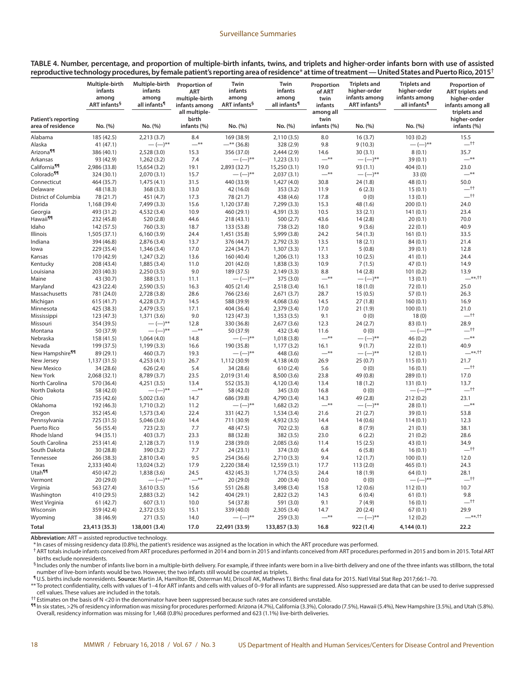|                             | Multiple-birth<br>infants<br>among<br>ART infants <sup>§</sup> | Multiple-birth<br>infants<br>among<br>all infants <sup>¶</sup> | Proportion of<br>ART<br>multiple-birth<br>infants among | Twin<br>infants<br>among<br>ART infants <sup>§</sup> | Twin<br>infants<br>among<br>all infants¶ | Proportion<br>of ART<br>twin<br>infants | <b>Triplets and</b><br>higher-order<br>infants among<br>ART infants <sup>§</sup> | <b>Triplets and</b><br>higher-order<br>infants among<br>all infants <sup>¶</sup> | Proportion of<br><b>ART</b> triplets and<br>higher-order<br>infants among all |
|-----------------------------|----------------------------------------------------------------|----------------------------------------------------------------|---------------------------------------------------------|------------------------------------------------------|------------------------------------------|-----------------------------------------|----------------------------------------------------------------------------------|----------------------------------------------------------------------------------|-------------------------------------------------------------------------------|
| Patient's reporting         |                                                                |                                                                | all multiple-<br>birth                                  |                                                      |                                          | among all<br>twin                       |                                                                                  |                                                                                  | triplets and<br>higher-order                                                  |
| area of residence           | No. (%)                                                        | No. (%)                                                        | infants (%)                                             | No. (%)                                              | No. (%)                                  | infants (%)                             | No. (%)                                                                          | No. (%)                                                                          | infants (%)                                                                   |
| Alabama                     | 185 (42.5)                                                     | 2,213(3.7)                                                     | 8.4                                                     | 169 (38.9)                                           | 2,110(3.5)                               | 8.0                                     | 16(3.7)                                                                          | 103(0.2)                                                                         | 15.5                                                                          |
| Alaska                      | 41 (47.1)                                                      | $-(-)^{**}$                                                    | $-$ **                                                  | $-$ ** (36.8)                                        | 328 (2.9)                                | 9.8                                     | 9(10.3)                                                                          | $-(-)^{**}$                                                                      | $-$ tt                                                                        |
| Arizona¶¶                   | 386 (40.1)                                                     | 2,528 (3.0)                                                    | 15.3                                                    | 356 (37.0)                                           | 2,444 (2.9)                              | 14.6                                    | 30(3.1)                                                                          | 8(0.1)                                                                           | 35.7                                                                          |
| Arkansas                    | 93 (42.9)                                                      | 1,262(3.2)                                                     | 7.4                                                     | $-(-)^{**}$                                          | 1,223(3.1)                               | $-$ **                                  | $-(-)^{**}$                                                                      | 39(0.1)                                                                          | $-$ **                                                                        |
| California <sup>¶¶</sup>    | 2,986 (33.8)                                                   | 15,654 (3.2)                                                   | 19.1                                                    | 2,893 (32.7)                                         | 15,250 (3.1)                             | 19.0                                    | 93(1.1)                                                                          | 404(0.1)                                                                         | 23.0                                                                          |
| Colorado¶¶                  | 324 (30.1)                                                     | 2,070 (3.1)                                                    | 15.7                                                    | $-(-)^{**}$                                          | 2,037(3.1)                               | $-$ **                                  | $-(-)^{**}$                                                                      | 33(0)                                                                            | $-$ **                                                                        |
| Connecticut                 | 464 (35.7)                                                     | 1,475(4.1)                                                     | 31.5                                                    | 440 (33.9)                                           | 1,427(4.0)                               | 30.8                                    | 24(1.8)                                                                          | 48 (0.1)                                                                         | 50.0                                                                          |
| Delaware                    | 48 (18.3)                                                      | 368(3.3)                                                       | 13.0                                                    | 42 (16.0)                                            | 353(3.2)                                 | 11.9                                    | 6(2.3)                                                                           | 15(0.1)                                                                          | $-$ tt                                                                        |
| District of Columbia        | 78 (21.7)                                                      | 451 (4.7)                                                      | 17.3                                                    | 78 (21.7)                                            | 438 (4.6)                                | 17.8                                    | 0(0)                                                                             | 13(0.1)                                                                          | $-^{\dagger \dagger}$                                                         |
| Florida                     | 1,168 (39.4)                                                   | 7,499 (3.3)                                                    | 15.6                                                    | 1,120 (37.8)                                         | 7,299 (3.3)                              | 15.3                                    | 48 (1.6)                                                                         | 200(0.1)                                                                         | 24.0                                                                          |
| Georgia                     | 493 (31.2)                                                     | 4,532 (3.4)                                                    | 10.9                                                    | 460 (29.1)                                           | 4,391 (3.3)                              | 10.5                                    | 33(2.1)                                                                          | 141(0.1)                                                                         | 23.4                                                                          |
| Hawaii¶¶                    | 232 (45.8)                                                     | 520 (2.8)                                                      | 44.6                                                    | 218 (43.1)                                           | 500 (2.7)                                | 43.6                                    | 14(2.8)                                                                          | 20(0.1)                                                                          | 70.0                                                                          |
| ldaho                       | 142 (57.5)                                                     | 760 (3.3)                                                      | 18.7                                                    | 133 (53.8)                                           | 738 (3.2)                                | 18.0                                    | 9(3.6)                                                                           | 22(0.1)                                                                          | 40.9                                                                          |
| Illinois                    | 1,505 (37.1)                                                   | 6,160(3.9)                                                     | 24.4                                                    | 1,451 (35.8)                                         | 5,999 (3.8)                              | 24.2                                    | 54 (1.3)                                                                         | 161(0.1)                                                                         | 33.5                                                                          |
| Indiana                     | 394 (46.8)                                                     | 2,876 (3.4)                                                    | 13.7                                                    | 376 (44.7)                                           | 2,792 (3.3)                              | 13.5                                    | 18(2.1)                                                                          | 84(0.1)                                                                          | 21.4                                                                          |
| lowa                        | 229 (35.4)                                                     | 1,346 (3.4)                                                    | 17.0                                                    | 224 (34.7)                                           | 1,307 (3.3)                              | 17.1                                    | 5(0.8)                                                                           | 39(0.1)                                                                          | 12.8                                                                          |
| Kansas                      | 170 (42.9)                                                     | 1,247 (3.2)                                                    | 13.6                                                    | 160 (40.4)                                           | 1,206(3.1)                               | 13.3                                    | 10(2.5)                                                                          | 41(0.1)                                                                          | 24.4                                                                          |
| Kentucky                    | 208 (43.4)                                                     | 1,885 (3.4)                                                    | 11.0                                                    | 201 (42.0)                                           | 1,838(3.3)                               | 10.9                                    | 7(1.5)                                                                           | 47(0.1)                                                                          | 14.9                                                                          |
| Louisiana                   | 203 (40.3)                                                     | 2,250(3.5)                                                     | 9.0                                                     | 189 (37.5)                                           | 2,149 (3.3)                              | 8.8                                     | 14(2.8)                                                                          | 101(0.2)                                                                         | 13.9                                                                          |
| Maine                       | 43 (30.7)                                                      | 388 (3.1)                                                      | 11.1                                                    | $-(-)^{**}$                                          | 375 (3.0)                                | $-$ **                                  | $-(-)^{**}$                                                                      | 13(0.1)                                                                          | $-$ **,††                                                                     |
| Maryland                    | 423 (22.4)                                                     | 2,590(3.5)                                                     | 16.3                                                    | 405 (21.4)                                           | 2,518 (3.4)                              | 16.1                                    | 18(1.0)                                                                          | 72(0.1)                                                                          | 25.0                                                                          |
| Massachusetts               | 781 (24.0)                                                     | 2,728 (3.8)                                                    | 28.6                                                    | 766 (23.6)                                           | 2,671(3.7)                               | 28.7                                    | 15(0.5)                                                                          | 57(0.1)                                                                          | 26.3                                                                          |
| Michigan                    | 615 (41.7)                                                     | 4,228 (3.7)                                                    | 14.5                                                    | 588 (39.9)                                           | 4,068 (3.6)                              | 14.5                                    | 27(1.8)                                                                          | 160(0.1)                                                                         | 16.9                                                                          |
| Minnesota                   | 425 (38.3)                                                     | 2,479 (3.5)                                                    | 17.1                                                    | 404 (36.4)                                           | 2,379 (3.4)                              | 17.0                                    | 21(1.9)                                                                          | 100(0.1)                                                                         | 21.0                                                                          |
| Mississippi                 | 123 (47.3)                                                     | 1,371 (3.6)                                                    | 9.0                                                     | 123 (47.3)                                           | 1,353(3.5)                               | 9.1                                     | 0(0)                                                                             | 18(0)                                                                            | $-$ tt                                                                        |
| Missouri                    | 354 (39.5)                                                     | $-(-)^{**}$                                                    | 12.8                                                    | 330 (36.8)                                           | 2,677 (3.6)                              | 12.3                                    | 24(2.7)                                                                          | 83(0.1)                                                                          | 28.9                                                                          |
| Montana                     | 50 (37.9)                                                      | $-(-)^{**}$                                                    | $-$ **                                                  | 50 (37.9)                                            | 432 (3.4)                                | 11.6                                    | 0(0)                                                                             | $-(-)^{**}$                                                                      | $-t$                                                                          |
| Nebraska                    | 158 (41.5)                                                     | 1,064(4.0)                                                     | 14.8                                                    | $-(-)^{**}$                                          | 1,018 (3.8)                              | $-$ **                                  | $-(-)^{**}$                                                                      | 46(0.2)                                                                          | $-$ **                                                                        |
| Nevada                      | 199 (37.5)                                                     | 1,199 (3.3)                                                    | 16.6                                                    | 190 (35.8)                                           | 1,177(3.2)                               | 16.1                                    | 9(1.7)                                                                           | 22(0.1)                                                                          | 40.9                                                                          |
| New Hampshire <sup>¶¶</sup> | 89 (29.1)                                                      | 460 (3.7)                                                      | 19.3                                                    | $-(-)^{**}$                                          | 448 (3.6)                                | $-$ **                                  | $-(-)^{**}$                                                                      | 12(0.1)                                                                          | $-$ **,††                                                                     |
| New Jersey                  | 1,137 (31.5)                                                   | 4,253 (4.1)                                                    | 26.7                                                    | 1,112 (30.9)                                         | 4,138 (4.0)                              | 26.9                                    | 25(0.7)                                                                          | 115(0.1)                                                                         | 21.7<br>$-^{\dagger \dagger}$                                                 |
| New Mexico                  | 34 (28.6)                                                      | 626(2.4)                                                       | 5.4                                                     | 34 (28.6)                                            | 610(2.4)                                 | 5.6                                     | 0(0)                                                                             | 16(0.1)                                                                          |                                                                               |
| New York                    | 2,068 (32.1)                                                   | 8,789 (3.7)                                                    | 23.5                                                    | 2,019 (31.4)                                         | 8,500 (3.6)                              | 23.8                                    | 49 (0.8)                                                                         | 289(0.1)                                                                         | 17.0                                                                          |
| North Carolina              | 570 (36.4)                                                     | 4,251(3.5)                                                     | 13.4                                                    | 552 (35.3)                                           | 4,120 (3.4)                              | 13.4                                    | 18(1.2)                                                                          | 131(0.1)                                                                         | 13.7                                                                          |
| North Dakota                | 58 (42.0)                                                      | $-(-)^{**}$                                                    | $-$ **                                                  | 58 (42.0)                                            | 345 (3.0)                                | 16.8                                    | 0(0)                                                                             | $-(-)^{**}$                                                                      | $-^{\dagger \dagger}$                                                         |
| Ohio                        | 735 (42.6)                                                     | 5,002(3.6)                                                     | 14.7                                                    | 686 (39.8)                                           | 4,790 (3.4)                              | 14.3                                    | 49 (2.8)                                                                         | 212(0.2)                                                                         | 23.1<br>$-$ **                                                                |
| Oklahoma                    | 192 (46.3)                                                     | 1,710 (3.2)                                                    | 11.2                                                    | $-(-)^{**}$                                          | 1,682(3.2)                               | $-$ **                                  | $-(-)^{**}$                                                                      | 28(0.1)                                                                          |                                                                               |
| Oregon                      | 352 (45.4)                                                     | 1,573 (3.4)                                                    | 22.4                                                    | 331 (42.7)                                           | 1,534 (3.4)                              | 21.6                                    | 21(2.7)                                                                          | 39(0.1)                                                                          | 53.8                                                                          |
| Pennsylvania<br>Puerto Rico | 725 (31.5)                                                     | 5,046 (3.6)                                                    | 14.4<br>7.7                                             | 711 (30.9)                                           | 4,932 (3.5)                              | 14.4                                    | 14(0.6)                                                                          | 114(0.1)                                                                         | 12.3<br>38.1                                                                  |
| Rhode Island                | 56 (55.4)<br>94 (35.1)                                         | 723 (2.3)                                                      |                                                         | 48 (47.5)                                            | 702 (2.3)                                | 6.8                                     | 8(7.9)                                                                           | 21(0.1)                                                                          |                                                                               |
|                             | 253 (41.4)                                                     | 403 (3.7)                                                      | 23.3                                                    | 88 (32.8)                                            | 382 (3.5)                                | 23.0                                    | 6(2.2)                                                                           | 21(0.2)                                                                          | 28.6<br>34.9                                                                  |
| South Carolina              |                                                                | 2,128 (3.7)                                                    | 11.9                                                    | 238 (39.0)                                           | 2,085 (3.6)                              | 11.4                                    | 15(2.5)                                                                          | 43(0.1)                                                                          | $-^{\dagger \dagger}$                                                         |
| South Dakota<br>Tennessee   | 30 (28.8)                                                      | 390 (3.2)                                                      | 7.7<br>9.5                                              | 24(23.1)                                             | 374 (3.0)                                | 6.4                                     | 6(5.8)                                                                           | 16(0.1)<br>100(0.1)                                                              | 12.0                                                                          |
| <b>Texas</b>                | 266 (38.3)                                                     | 2,810 (3.4)                                                    | 17.9                                                    | 254 (36.6)                                           | 2,710 (3.3)                              | 9.4                                     | 12(1.7)                                                                          | 465(0.1)                                                                         |                                                                               |
| Utah <sup>¶¶</sup>          | 2,333 (40.4)<br>450 (47.2)                                     | 13,024 (3.2)                                                   |                                                         | 2,220 (38.4)                                         | 12,559 (3.1)                             | 17.7<br>24.4                            | 113(2.0)                                                                         |                                                                                  | 24.3<br>28.1                                                                  |
| Vermont                     |                                                                | 1,838 (3.6)<br>$-(-)^{**}$                                     | 24.5<br>$-$ **                                          | 432 (45.3)                                           | 1,774 (3.5)                              |                                         | 18 (1.9)                                                                         | 64(0.1)                                                                          | $-$ tt                                                                        |
| Virginia                    | 20 (29.0)<br>563 (27.4)                                        | 3,610(3.5)                                                     | 15.6                                                    | 20 (29.0)<br>551 (26.8)                              | 200(3.4)<br>3,498 (3.4)                  | 10.0<br>15.8                            | 0(0)<br>12(0.6)                                                                  | $-(-)^{**}$<br>112(0.1)                                                          | 10.7                                                                          |
| Washington                  | 410 (29.5)                                                     | 2,883 (3.2)                                                    | 14.2                                                    | 404 (29.1)                                           | 2,822 (3.2)                              | 14.3                                    | 6(0.4)                                                                           | 61(0.1)                                                                          | 9.8                                                                           |
| West Virginia               | 61 (42.7)                                                      | 607(3.1)                                                       | 10.0                                                    | 54 (37.8)                                            | 591 (3.0)                                | 9.1                                     | 7(4.9)                                                                           | 16(0.1)                                                                          | $-$ <sup>++</sup>                                                             |
| Wisconsin                   | 359 (42.4)                                                     | 2,372 (3.5)                                                    | 15.1                                                    | 339 (40.0)                                           | 2,305 (3.4)                              | 14.7                                    | 20(2.4)                                                                          | 67(0.1)                                                                          | 29.9                                                                          |
| Wyoming                     | 38 (46.9)                                                      | 271 (3.5)                                                      | 14.0                                                    | $-(-)^{**}$                                          | 259(3.3)                                 | $-$ **                                  | $-(-)^{**}$                                                                      | 12(0.2)                                                                          | $-$ **,††                                                                     |
|                             |                                                                |                                                                |                                                         |                                                      |                                          |                                         |                                                                                  |                                                                                  |                                                                               |
| Total                       | 23,413 (35.3)                                                  | 138,001 (3.4)                                                  | 17.0                                                    | 22,491 (33.9)                                        | 133,857 (3.3)                            | 16.8                                    | 922 (1.4)                                                                        | 4,144(0.1)                                                                       | 22.2                                                                          |

**TABLE 4. Number, percentage, and proportion of multiple-birth infants, twins, and triplets and higher-order infants born with use of assisted reproductive technology procedures, by female patient's reporting area of residence**\* **at time of treatment — United States and Puerto Rico, 2015**†

**Abbreviation:** ART = assisted reproductive technology.

\* In cases of missing residency data (0.8%), the patient's residence was assigned as the location in which the ART procedure was performed.

†ART totals include infants conceived from ART procedures performed in 2014 and born in 2015 and infants conceived from ART procedures performed in 2015 and born in 2015. Total ART births exclude nonresidents.

§Includes only the number of infants live born in a multiple-birth delivery. For example, if three infants were born in a live-birth delivery and one of the three infants was stillborn, the total number of live-born infants would be two. However, the two infants still would be counted as triplets.

¶U.S. births include nonresidents. **Source:** Martin JA, Hamilton BE, Osterman MJ, Driscoll AK, Mathews TJ. Births: final data for 2015. Natl Vital Stat Rep 2017;66:1–70.

\*\* To protect confidentiality, cells with values of 1–4 for ART infants and cells with values of 0–9 for all infants are suppressed. Also suppressed are data that can be used to derive suppressed cell values. These values are included in the totals.

 $^{++}$  Estimates on the basis of N <20 in the denominator have been suppressed because such rates are considered unstable.

¶¶ In six states, >2% of residency information was missing for procedures performed: Arizona (4.7%), California (3.3%), Colorado (7.5%), Hawaii (5.4%), New Hampshire (3.5%), and Utah (5.8%). Overall, residency information was missing for 1,468 (0.8%) procedures performed and 623 (1.1%) live-birth deliveries.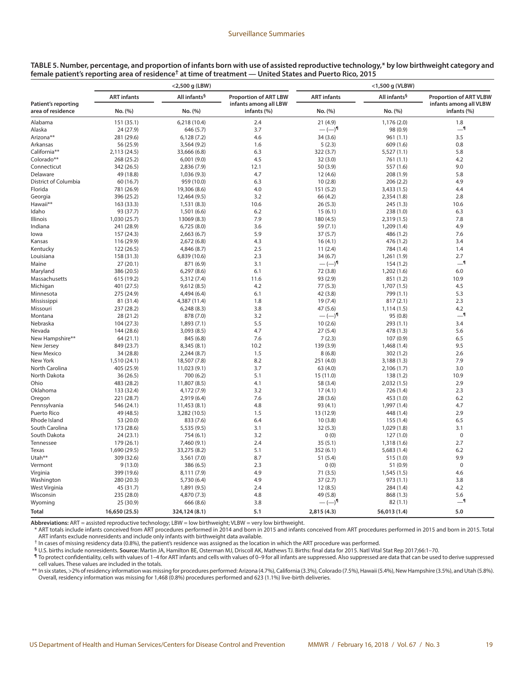|                                          |                         | <2,500 g (LBW)           |                                      | <1,500 g (VLBW)    |                          |                                       |  |
|------------------------------------------|-------------------------|--------------------------|--------------------------------------|--------------------|--------------------------|---------------------------------------|--|
|                                          | <b>ART</b> infants      | All infants <sup>§</sup> | <b>Proportion of ART LBW</b>         | <b>ART</b> infants | All infants <sup>§</sup> | <b>Proportion of ART VLBW</b>         |  |
| Patient's reporting<br>area of residence | No. (%)                 | No. (%)                  | infants among all LBW<br>infants (%) | No. (%)            | No. (%)                  | infants among all VLBW<br>infants (%) |  |
| Alabama                                  | 151 (35.1)              | 6,218 (10.4)             | 2.4                                  | 21(4.9)            | 1,176 (2.0)              | 1.8                                   |  |
| Alaska                                   | 24 (27.9)               | 646 (5.7)                | 3.7                                  | $ (-)^\P$          | 98 (0.9)                 | $-1$                                  |  |
| Arizona**                                | 281 (29.6)              | 6,128(7.2)               | 4.6                                  | 34(3.6)            | 961(1.1)                 | 3.5                                   |  |
| Arkansas                                 | 56 (25.9)               | 3,564(9.2)               | 1.6                                  | 5(2.3)             | 609(1.6)                 | 0.8                                   |  |
| California**                             | 2,113 (24.5)            | 33,666 (6.8)             | 6.3                                  | 322 (3.7)          | 5,527 (1.1)              | 5.8                                   |  |
| Colorado**                               | 268 (25.2)              | 6,001(9.0)               | 4.5                                  | 32(3.0)            | 761 (1.1)                | 4.2                                   |  |
| Connecticut                              | 342 (26.5)              | 2,836 (7.9)              | 12.1                                 | 50(3.9)            | 557 (1.6)                | 9.0                                   |  |
| Delaware                                 | 49 (18.8)               | 1,036 (9.3)              | 4.7                                  | 12(4.6)            | 208(1.9)                 | 5.8                                   |  |
| District of Columbia                     | 60 (16.7)               | 959 (10.0)               | 6.3                                  | 10(2.8)            | 206(2.2)                 | 4.9                                   |  |
| Florida                                  | 781 (26.9)              | 19,306 (8.6)             | 4.0                                  | 151(5.2)           | 3,433 (1.5)              | 4.4                                   |  |
| Georgia                                  | 396 (25.2)              | 12,464 (9.5)             | 3.2                                  | 66 (4.2)           | 2,354 (1.8)              | 2.8                                   |  |
| Hawaii**                                 | 163 (33.3)              | 1,531(8.3)               | 10.6                                 | 26(5.3)            | 245(1.3)                 | 10.6                                  |  |
| ldaho                                    | 93 (37.7)               | 1,501(6.6)               | 6.2                                  | 15(6.1)            | 238 (1.0)                | 6.3                                   |  |
| Illinois                                 | 1,030 (25.7)            | 13069 (8.3)              | 7.9                                  | 180 (4.5)          | 2,319(1.5)               | 7.8                                   |  |
| Indiana                                  | 241 (28.9)              | 6,725(8.0)               | 3.6                                  | 59 (7.1)           | 1,209 (1.4)              | 4.9                                   |  |
| lowa                                     | 157 (24.3)              | 2,663(6.7)               | 5.9                                  | 37(5.7)            | 486 (1.2)                | 7.6                                   |  |
| Kansas                                   | 116 (29.9)              | 2,672(6.8)               | 4.3                                  | 16(4.1)            | 476 (1.2)                | 3.4                                   |  |
| Kentucky                                 | 122 (26.5)              | 4,846 (8.7)              | 2.5                                  | 11(2.4)            | 784 (1.4)                | 1.4                                   |  |
| Louisiana                                | 158 (31.3)              | 6,839 (10.6)             | 2.3                                  | 34(6.7)            | 1,261 (1.9)              | 2.7                                   |  |
| Maine                                    | 27(20.1)                | 871 (6.9)                | 3.1                                  | $---(-)^9$         | 154 (1.2)                | —¶                                    |  |
| Maryland                                 | 386 (20.5)              | 6,297(8.6)               | 6.1                                  | 72 (3.8)           | 1,202(1.6)               | 6.0                                   |  |
| Massachusetts                            | 615 (19.2)              | 5,312 (7.4)              | 11.6                                 | 93 (2.9)           | 851 (1.2)                | 10.9                                  |  |
| Michigan                                 | 401 (27.5)              | 9,612 (8.5)              | 4.2                                  | 77(5.3)            | 1,707 (1.5)              | 4.5                                   |  |
| Minnesota                                | 275 (24.9)              | 4,494 (6.4)              | 6.1                                  | 42 (3.8)           | 799 (1.1)                | 5.3                                   |  |
| Mississippi                              | 81 (31.4)               | 4,387 (11.4)             | 1.8                                  | 19(7.4)            | 817(2.1)                 | 2.3                                   |  |
| Missouri                                 | 237 (28.2)              | 6,248(8.3)               | 3.8                                  | 47 (5.6)           | 1,114(1.5)               | 4.2                                   |  |
| Montana                                  | 28(21.2)                | 878 (7.0)                | 3.2                                  | $-(-)^{1}$         | 95(0.8)                  | <u>_</u> ¶                            |  |
| Nebraska                                 | 104 (27.3)              | 1,893 (7.1)              | 5.5                                  | 10(2.6)            | 293(1.1)                 | 3.4                                   |  |
| Nevada                                   | 144 (28.6)              | 3,093 (8.5)              | 4.7                                  | 27(5.4)            | 478 (1.3)                | 5.6                                   |  |
| New Hampshire**                          | 64 (21.1)               | 845 (6.8)                | 7.6                                  | 7(2.3)             | 107(0.9)                 | 6.5                                   |  |
| New Jersey                               | 849 (23.7)              | 8,345 (8.1)              | 10.2                                 | 139 (3.9)          | 1,468 (1.4)              | 9.5                                   |  |
| New Mexico                               | 34 (28.8)               | 2,244 (8.7)              | 1.5                                  | 8(6.8)             | 302(1.2)                 | 2.6                                   |  |
| New York                                 | 1,510 (24.1)            | 18,507 (7.8)             | 8.2                                  | 251 (4.0)          | 3,188(1.3)               | 7.9                                   |  |
| North Carolina                           | 405 (25.9)              | 11,023 (9.1)             | 3.7                                  | 63 (4.0)           | 2,106 (1.7)              | 3.0                                   |  |
| North Dakota                             | 36(26.5)                | 700 (6.2)                | 5.1                                  | 15 (11.0)          | 138(1.2)                 | 10.9                                  |  |
| Ohio                                     | 483 (28.2)              | 11,807 (8.5)             | 4.1                                  | 58 (3.4)           | 2,032(1.5)               | 2.9                                   |  |
| Oklahoma                                 | 133 (32.4)              | 4,172 (7.9)              | 3.2                                  | 17(4.1)            | 726 (1.4)                | 2.3                                   |  |
| Oregon                                   | 221 (28.7)              | 2,919(6.4)               | 7.6                                  | 28(3.6)            | 453 (1.0)                | 6.2                                   |  |
| Pennsylvania                             | 546 (24.1)              | 11,453 (8.1)             | 4.8                                  | 93 (4.1)           | 1,997 (1.4)              | 4.7                                   |  |
| Puerto Rico                              | 49 (48.5)               | 3,282 (10.5)             | 1.5                                  | 13 (12.9)          | 448 (1.4)                | 2.9                                   |  |
| Rhode Island                             | 53 (20.0)               | 833 (7.6)                | 6.4                                  | 10(3.8)            | 155(1.4)                 | 6.5                                   |  |
| South Carolina                           | 173 (28.6)              | 5,535 (9.5)              | 3.1                                  | 32(5.3)            | 1,029 (1.8)              | 3.1                                   |  |
| South Dakota                             | 24(23.1)                | 754 (6.1)                | 3.2                                  | 0(0)               | 127(1.0)                 | $\mathbf 0$                           |  |
| Tennessee                                | 179 (26.1)              | 7,460 (9.1)              | 2.4                                  | 35(5.1)            | 1,318 (1.6)              | 2.7                                   |  |
| <b>Texas</b>                             | 1,690 (29.5)            | 33,275 (8.2)             | 5.1                                  | 352(6.1)           | 5,683 (1.4)              | 6.2                                   |  |
| Utah**                                   | 309 (32.6)              | 3,561 (7.0)              | 8.7                                  | 51 (5.4)           | 515(1.0)                 | 9.9                                   |  |
| Vermont                                  | 9(13.0)                 | 386 (6.5)                | 2.3                                  | 0(0)               | 51(0.9)                  | $\mathbf 0$                           |  |
| Virginia                                 | 399 (19.6)              | 8,111 (7.9)              | 4.9                                  | 71(3.5)            | 1,545(1.5)               | 4.6                                   |  |
| Washington                               | 280 (20.3)              | 5,730 (6.4)              | 4.9                                  |                    | 973(1.1)                 | 3.8                                   |  |
| West Virginia                            | 45 (31.7)               | 1,891 (9.5)              | 2.4                                  | 37(2.7)<br>12(8.5) | 284 (1.4)                | 4.2                                   |  |
| Wisconsin                                |                         | 4,870 (7.3)              | 4.8                                  | 49 (5.8)           |                          | 5.6                                   |  |
| Wyoming                                  | 235 (28.0)<br>25 (30.9) | 666 (8.6)                | 3.8                                  | $ (-)^\P$          | 868 (1.3)<br>82(1.1)     | —¶                                    |  |
|                                          |                         |                          |                                      |                    |                          |                                       |  |
| Total                                    | 16,650 (25.5)           | 324,124 (8.1)            | 5.1                                  | 2,815(4.3)         | 56,013 (1.4)             | 5.0                                   |  |

**TABLE 5. Number, percentage, and proportion of infants born with use of assisted reproductive technology,\* by low birthweight category and female patient's reporting area of residence† at time of treatment — United States and Puerto Rico, 2015**

**Abbreviations:** ART = assisted reproductive technology; LBW = low birthweight; VLBW = very low birthweight.

\* ART totals include infants conceived from ART procedures performed in 2014 and born in 2015 and infants conceived from ART procedures performed in 2015 and born in 2015. Total ART infants exclude nonresidents and include only infants with birthweight data available.

† In cases of missing residency data (0.8%), the patient's residence was assigned as the location in which the ART procedure was performed.

1 To protect confidentiality, cells with values of 1-4 for ART infants and cells with values of 0-9 for all infants are suppressed. Also suppressed are data that can be used to derive suppressed cell values. These values are included in the totals.

\*\* In six states, >2% of residency information was missing for procedures performed: Arizona (4.7%), California (3.3%), Colorado (7.5%), Hawaii (5.4%), New Hampshire (3.5%), and Utah (5.8%). Overall, residency information was missing for 1,468 (0.8%) procedures performed and 623 (1.1%) live-birth deliveries.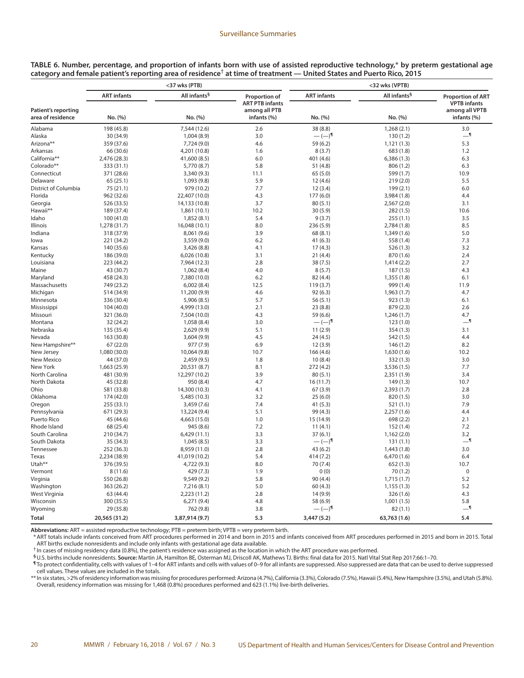|                                          |                    | <37 wks (PTB)            |                                                        | <32 wks (VPTB)     |                          |                                                      |  |  |
|------------------------------------------|--------------------|--------------------------|--------------------------------------------------------|--------------------|--------------------------|------------------------------------------------------|--|--|
|                                          | <b>ART</b> infants | All infants <sup>§</sup> | Proportion of                                          | <b>ART</b> infants | All infants <sup>§</sup> | <b>Proportion of ART</b>                             |  |  |
| Patient's reporting<br>area of residence | No. (%)            | No. (%)                  | <b>ART PTB infants</b><br>among all PTB<br>infants (%) | No. (%)            | No. (%)                  | <b>VPTB</b> infants<br>among all VPTB<br>infants (%) |  |  |
| Alabama                                  | 198 (45.8)         | 7,544 (12.6)             | 2.6                                                    | 38 (8.8)           | 1,268(2.1)               | 3.0                                                  |  |  |
| Alaska                                   | 30 (34.9)          | 1,004 (8.9)              | 3.0                                                    | $-(-)^9$           | 130(1.2)                 | —¶                                                   |  |  |
| Arizona**                                | 359 (37.6)         | 7,724 (9.0)              | 4.6                                                    | 59 (6.2)           | 1,121(1.3)               | 5.3                                                  |  |  |
| Arkansas                                 | 66 (30.6)          | 4,201 (10.8)             | 1.6                                                    | 8(3.7)             | 683 (1.8)                | 1.2                                                  |  |  |
| California**                             | 2,476 (28.3)       | 41,600 (8.5)             | 6.0                                                    | 401 (4.6)          | 6,386 (1.3)              | 6.3                                                  |  |  |
| Colorado**                               | 333 (31.1)         | 5,770 (8.7)              | 5.8                                                    | 51 (4.8)           | 806 (1.2)                | 6.3                                                  |  |  |
| Connecticut                              | 371 (28.6)         | 3,340 (9.3)              | 11.1                                                   | 65 (5.0)           | 599 (1.7)                | 10.9                                                 |  |  |
| Delaware                                 | 65 (25.1)          | 1,093 (9.8)              | 5.9                                                    | 12(4.6)            | 219(2.0)                 | 5.5                                                  |  |  |
| District of Columbia                     | 75 (21.1)          | 979 (10.2)               | 7.7                                                    | 12 (3.4)           | 199 (2.1)                | 6.0                                                  |  |  |
| Florida                                  | 962 (32.6)         | 22,407 (10.0)            | 4.3                                                    | 177 (6.0)          | 3,984 (1.8)              | 4.4                                                  |  |  |
| Georgia                                  | 526 (33.5)         | 14,133 (10.8)            | 3.7                                                    | 80(5.1)            | 2,567 (2.0)              | 3.1                                                  |  |  |
| Hawaii**                                 | 189 (37.4)         | 1,861 (10.1)             | 10.2                                                   | 30(5.9)            | 282(1.5)                 | 10.6                                                 |  |  |
| ldaho                                    | 100 (41.0)         | 1,852(8.1)               | 5.4                                                    | 9(3.7)             | 255(1.1)                 | 3.5                                                  |  |  |
| Illinois                                 | 1,278 (31.7)       | 16,048 (10.1)            | 8.0                                                    | 236 (5.9)          | 2,784 (1.8)              | 8.5                                                  |  |  |
| Indiana                                  | 318 (37.9)         | 8,061 (9.6)              | 3.9                                                    | 68(8.1)            | 1,349 (1.6)              | 5.0                                                  |  |  |
| lowa                                     | 221 (34.2)         | 3,559 (9.0)              | 6.2                                                    | 41(6.3)            | 558 (1.4)                | 7.3                                                  |  |  |
| Kansas                                   | 140 (35.6)         | 3,426 (8.8)              | 4.1                                                    | 17(4.3)            | 526 (1.3)                | 3.2                                                  |  |  |
| Kentucky                                 | 186 (39.0)         | 6,026 (10.8)             | 3.1                                                    | 21(4.4)            | 870 (1.6)                | 2.4                                                  |  |  |
| Louisiana                                | 223 (44.2)         | 7,964 (12.3)             | 2.8                                                    | 38(7.5)            | 1,414(2.2)               | 2.7                                                  |  |  |
| Maine                                    | 43 (30.7)          | 1,062 (8.4)              | 4.0                                                    | 8(5.7)             | 187(1.5)                 | 4.3                                                  |  |  |
| Maryland                                 | 458 (24.3)         | 7,380 (10.0)             | 6.2                                                    | 82 (4.4)           | 1,355 (1.8)              | 6.1                                                  |  |  |
| Massachusetts                            | 749 (23.2)         | 6,002(8.4)               | 12.5                                                   | 119(3.7)           | 999 (1.4)                | 11.9                                                 |  |  |
| Michigan                                 | 514 (34.9)         | 11,200 (9.9)             | 4.6                                                    | 92(6.3)            | 1,963 (1.7)              | 4.7                                                  |  |  |
| Minnesota                                | 336 (30.4)         | 5,906 (8.5)              | 5.7                                                    | 56(5.1)            | 923(1.3)                 | 6.1                                                  |  |  |
| Mississippi                              | 104 (40.0)         | 4,999 (13.0)             | 2.1                                                    | 23(8.8)            | 879 (2.3)                | 2.6                                                  |  |  |
| Missouri                                 | 321 (36.0)         | 7,504 (10.0)             | 4.3                                                    | 59 (6.6)           | 1,246 (1.7)              | 4.7                                                  |  |  |
| Montana                                  | 32 (24.2)          | 1,058 (8.4)              | 3.0                                                    | $-(-)^{9}$         | 123 (1.0)                | $-1$                                                 |  |  |
| Nebraska                                 | 135 (35.4)         | 2,629 (9.9)              | 5.1                                                    | 11(2.9)            | 354 (1.3)                | 3.1                                                  |  |  |
| Nevada                                   | 163 (30.8)         | 3,604 (9.9)              | 4.5                                                    | 24 (4.5)           | 542 (1.5)                | 4.4                                                  |  |  |
| New Hampshire**                          | 67 (22.0)          | 977 (7.9)                | 6.9                                                    | 12 (3.9)           | 146 (1.2)                | 8.2                                                  |  |  |
| New Jersey                               | 1,080 (30.0)       | 10,064 (9.8)             | 10.7                                                   | 166 (4.6)          | 1,630(1.6)               | 10.2                                                 |  |  |
| New Mexico                               | 44 (37.0)          | 2,459(9.5)               | 1.8                                                    | 10(8.4)            | 332 (1.3)                | 3.0                                                  |  |  |
| New York                                 | 1,663 (25.9)       | 20,531 (8.7)             | 8.1                                                    | 272 (4.2)          | 3,536 (1.5)              | 7.7                                                  |  |  |
| North Carolina                           | 481 (30.9)         | 12,297 (10.2)            | 3.9                                                    | 80(5.1)            | 2,351 (1.9)              | 3.4                                                  |  |  |
| North Dakota                             | 45 (32.8)          | 950 (8.4)                | 4.7                                                    | 16(11.7)           | 149 (1.3)                | 10.7                                                 |  |  |
| Ohio                                     | 581 (33.8)         | 14,300 (10.3)            | 4.1                                                    | 67(3.9)            | 2,393(1.7)               | 2.8                                                  |  |  |
| Oklahoma                                 | 174 (42.0)         | 5,485 (10.3)             | 3.2                                                    | 25(6.0)            | 820 (1.5)                | 3.0                                                  |  |  |
| Oregon                                   | 255 (33.1)         | 3,459 (7.6)              | 7.4                                                    | 41(5.3)            | 521(1.1)                 | 7.9                                                  |  |  |
| Pennsylvania                             | 671 (29.3)         | 13,224 (9.4)             | 5.1                                                    | 99 (4.3)           | 2,257(1.6)               | 4.4                                                  |  |  |
| Puerto Rico                              | 45 (44.6)          | 4,663 (15.0)             | 1.0                                                    | 15 (14.9)          | 698 (2.2)                | 2.1                                                  |  |  |
| Rhode Island                             | 68 (25.4)          | 945 (8.6)                | 7.2                                                    | 11(4.1)            | 152(1.4)                 | 7.2                                                  |  |  |
| South Carolina                           | 210 (34.7)         | 6,429(11.1)              | 3.3                                                    | 37(6.1)            | 1,162 (2.0)              | 3.2                                                  |  |  |
| South Dakota                             | 35 (34.3)          | 1,045(8.5)               | 3.3                                                    | $---(-)^9$         | 131(1.1)                 | —¶                                                   |  |  |
| Tennessee                                | 252 (36.3)         | 8,959 (11.0)             | 2.8                                                    | 43 (6.2)           | 1,443 (1.8)              | 3.0                                                  |  |  |
| Texas                                    | 2,234 (38.9)       | 41,019 (10.2)            | 5.4                                                    | 414 (7.2)          | 6,470 (1.6)              | 6.4                                                  |  |  |
| Utah <sup>**</sup>                       | 376 (39.5)         | 4,722 (9.3)              | 8.0                                                    | 70 (7.4)           | 652 (1.3)                | 10.7                                                 |  |  |
| Vermont                                  | 8(11.6)            | 429 (7.3)                | 1.9                                                    | 0(0)               | 70 (1.2)                 | $\mathbf 0$                                          |  |  |
| Virginia                                 | 550 (26.8)         | 9,549 (9.2)              | 5.8                                                    | 90 (4.4)           | 1,715(1.7)               | 5.2                                                  |  |  |
| Washington                               | 363 (26.2)         | 7,216 (8.1)              | 5.0                                                    | 60(4.3)            | 1,155(1.3)               | 5.2                                                  |  |  |
| West Virginia                            | 63 (44.4)          | 2,223 (11.2)             | 2.8                                                    | 14 (9.9)           | 326(1.6)                 | 4.3                                                  |  |  |
| Wisconsin                                | 300 (35.5)         | 6,271(9.4)               | 4.8                                                    | 58 (6.9)           | 1,001(1.5)               | 5.8                                                  |  |  |
| Wyoming                                  | 29 (35.8)          | 762 (9.8)                | 3.8                                                    | $ (-)^\P$          | 82(1.1)                  | __¶                                                  |  |  |
|                                          |                    |                          |                                                        |                    |                          |                                                      |  |  |
| Total                                    | 20,565 (31.2)      | 3,87,914 (9.7)           | 5.3                                                    | 3,447 (5.2)        | 63,763 (1.6)             | 5.4                                                  |  |  |

**TABLE 6. Number, percentage, and proportion of infants born with use of assisted reproductive technology,**\* **by preterm gestational age category and female patient's reporting area of residence**† **at time of treatment — United States and Puerto Rico, 2015**

**Abbreviations:** ART = assisted reproductive technology; PTB = preterm birth; VPTB = very preterm birth.

\*ART totals include infants conceived from ART procedures performed in 2014 and born in 2015 and infants conceived from ART procedures performed in 2015 and born in 2015. Total ART births exclude nonresidents and include only infants with gestational age data available.

† In cases of missing residency data (0.8%), the patient's residence was assigned as the location in which the ART procedure was performed.

§ U.S. births include nonresidents. **Source:** Martin JA, Hamilton BE, Osterman MJ, Driscoll AK, Mathews TJ. Births: final data for 2015. Natl Vital Stat Rep 2017;66:1–70.<br>¶To protect confidentiality, cells with values of 1 cell values. These values are included in the totals.

\*\* In six states, >2% of residency information was missing for procedures performed: Arizona (4.7%), California (3.3%), Colorado (7.5%), Hawaii (5.4%), New Hampshire (3.5%), and Utah (5.8%). Overall, residency information was missing for 1,468 (0.8%) procedures performed and 623 (1.1%) live-birth deliveries.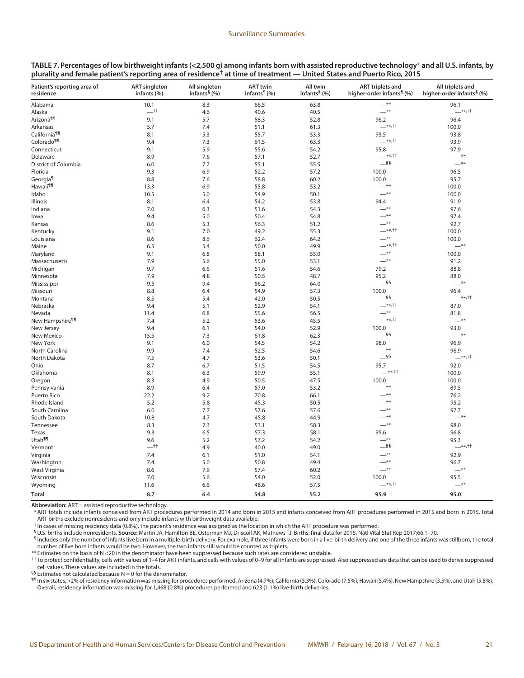| Patient's reporting area of<br>residence | <b>ART</b> singleton<br>infants (%) | All singleton<br>infants $§$ (%) | <b>ART twin</b><br>infants $\P$ (%) | All twin<br>infants $§$ (%) | <b>ART triplets and</b><br>All triplets and<br>higher-order infants <sup>1</sup> (%)<br>higher-order infants <sup>§</sup> (%) |              |
|------------------------------------------|-------------------------------------|----------------------------------|-------------------------------------|-----------------------------|-------------------------------------------------------------------------------------------------------------------------------|--------------|
| Alabama                                  | 10.1                                | 8.3                              | 66.5                                | 63.8                        | $***$                                                                                                                         | 96.1         |
| Alaska                                   | $-$ tt                              | 4.6                              | 40.6                                | 40.5                        | $-$ **                                                                                                                        | $-***$ , † † |
| Arizona <sup>¶¶</sup>                    | 9.1                                 | 5.7                              | 58.3                                | 52.8                        | 96.2                                                                                                                          | 96.4         |
| Arkansas                                 | 5.7                                 | 7.4                              | 51.1                                | 61.3                        | $***$ ,††                                                                                                                     | 100.0        |
| California <sup>91</sup>                 | 8.1                                 | 5.3                              | 55.7                                | 53.3                        | 93.5                                                                                                                          | 93.8         |
| Colorado <sup>919</sup>                  | 9.4                                 | 7.3                              | 61.5                                | 63.3                        | __**,††                                                                                                                       | 93.9         |
| Connecticut                              | 9.1                                 | 5.9                              | 55.6                                | 54.2                        | 95.8                                                                                                                          | 97.9         |
| Delaware                                 | 8.9                                 | 7.6                              | 57.1                                | 52.7                        | $-$ **,††                                                                                                                     | $-$ **       |
| District of Columbia                     | 6.0                                 | 7.7                              | 55.1                                | 55.5                        | $-$ §§                                                                                                                        | $-$ **       |
| Florida                                  | 9.3                                 | 6.9                              | 52.2                                | 57.2                        | 100.0                                                                                                                         | 96.5         |
| Georgia <sup>¶</sup>                     | 8.8                                 | 7.6                              | 58.8                                | 60.2                        | 100.0                                                                                                                         | 95.7         |
| Hawaii <sup>¶¶</sup>                     | 13.3                                | 6.9                              | 55.8                                | 53.2                        | $-$ **                                                                                                                        | 100.0        |
| Idaho                                    | 10.5                                | 5.0                              | 54.9                                | 50.1                        | $-$ **                                                                                                                        | 100.0        |
| Illinois                                 | 8.1                                 | 6.4                              | 54.2                                | 53.8                        | 94.4                                                                                                                          | 91.9         |
| Indiana                                  | 7.0                                 | 6.3                              | 51.6                                | 54.3                        | $-$ **                                                                                                                        | 97.6         |
| lowa                                     | 9.4                                 | 5.0                              | 50.4                                | 54.8                        | $-$ **                                                                                                                        | 97.4         |
| Kansas                                   | 8.6                                 | 5.3                              | 56.3                                | 51.2                        | $-$ **                                                                                                                        | 92.7         |
| Kentucky                                 | 9.1                                 | 7.0                              | 49.2                                | 55.3                        | $-$ **,††                                                                                                                     | 100.0        |
| Louisiana                                | 8.6                                 | 8.6                              | 62.4                                | 64.2                        | $-$ **                                                                                                                        | 100.0        |
| Maine                                    | 6.5                                 | 5.4                              | 50.0                                | 49.9                        | __**,††                                                                                                                       | $-$ **       |
| Maryland                                 | 9.1                                 | 6.8                              | 58.1                                | 55.0                        | $-$ **                                                                                                                        | 100.0        |
| Massachusetts                            | 7.9                                 | 5.6                              | 55.0                                | 53.1                        | $-$ **                                                                                                                        | 91.2         |
| Michigan                                 | 9.7                                 | 6.6                              | 51.6                                | 54.6                        | 79.2                                                                                                                          | 88.8         |
| Minnesota                                | 7.9                                 | 4.8                              | 50.5                                | 48.7                        | 95.2                                                                                                                          | 88.0         |
| Mississippi                              | 9.5                                 | 9.4                              | 56.2                                | 64.0                        | $-$ §§                                                                                                                        | $-$ **       |
| Missouri                                 | 8.8                                 | 6.4                              | 54.9                                | 57.3                        | 100.0                                                                                                                         | 96.4         |
| Montana                                  | 8.5                                 | 5.4                              | 42.0                                | 50.5                        | $-$ §§                                                                                                                        | $-$ **,††    |
| Nebraska                                 | 9.4                                 | 5.1                              | 52.9                                | 54.1                        | $-$ **,††                                                                                                                     | 87.0         |
| Nevada                                   | 11.4                                | 6.8                              | 55.6                                | 56.5                        | $-$ **                                                                                                                        | 81.8         |
| New Hampshire <sup>¶¶</sup>              | 7.4                                 | 5.2                              | 53.6                                | 45.5                        | $***, †$ †                                                                                                                    | $-$ **       |
| New Jersey                               | 9.4                                 | 6.1                              | 54.0                                | 52.9                        | 100.0                                                                                                                         | 93.0         |
| New Mexico                               | 15.5                                | 7.3                              | 61.8                                | 62.3                        | $-$ §§                                                                                                                        | $-$ **       |
| New York                                 | 9.1                                 | 6.0                              | 54.5                                | 54.2                        | 98.0                                                                                                                          | 96.9         |
| North Carolina                           | 9.9                                 | 7.4                              | 52.5                                | 54.6                        | $-$ **                                                                                                                        | 96.9         |
| North Dakota                             | 7.5                                 | 4.7                              | 53.6                                | 50.1                        | $-$ §§                                                                                                                        | __**,††      |
| Ohio                                     | 8.7                                 | 6.7                              | 51.5                                | 54.5                        | 95.7                                                                                                                          | 92.0         |
| Oklahoma                                 | 8.1                                 | 6.3                              | 59.9                                | 55.1                        | $-$ **,††                                                                                                                     | 100.0        |
| Oregon                                   | 8.3                                 | 4.9                              | 50.5                                | 47.5                        | 100.0                                                                                                                         | 100.0        |
| Pennsylvania                             | 8.9                                 | 6.4                              | 57.0                                | 53.2                        | $-$ **                                                                                                                        | 89.5         |
| Puerto Rico                              | 22.2                                | 9.2                              | 70.8                                | 66.1                        | $-$ **                                                                                                                        | 76.2         |
| Rhode Island                             | 5.2                                 | 5.8                              | 45.3                                | 50.5                        | $-$ **                                                                                                                        | 95.2         |
| South Carolina                           | 6.0                                 | 7.7                              | 57.6                                | 57.6                        | $-$ **                                                                                                                        | 97.7         |
| South Dakota                             | 10.8                                | 4.7                              | 45.8                                | 44.9                        | $-$ **                                                                                                                        | $-$ **       |
| Tennessee                                | 8.3                                 | 7.3                              | 53.1                                | 58.3                        | $-$ **                                                                                                                        | 98.0         |
| Texas                                    | 9.3                                 | 6.5                              | 57.3                                | 58.1                        | 95.6                                                                                                                          | 96.8         |
| Utah <sup>11</sup>                       | 9.6                                 | 5.2                              | 57.2                                | 54.2                        | $-$ **                                                                                                                        | 95.3         |
| Vermont                                  | $-t$                                | 4.9                              | 40.0                                | 49.0                        | $-$ §§                                                                                                                        | $-$ **,††    |
| Virginia                                 | 7.4                                 | 6.1                              | 51.0                                | 54.1                        | $-$ **                                                                                                                        | 92.9         |
| Washington                               | 7.4                                 | 5.0                              | 50.8                                | 49.4                        | $-$ **                                                                                                                        | 96.7         |
| West Virginia                            | 8.6                                 | 7.9                              | 57.4                                | 60.2                        | $-$ **                                                                                                                        | $-$ **       |
| Wisconsin                                | 7.0                                 | 5.6                              | 54.0                                | 52.0                        | 100.0                                                                                                                         | 95.5         |

|  |  |  | TABLE 7. Percentages of low birthweight infants (<2,500 g) among infants born with assisted reproductive technology* and all U.S. infants, by |  |  |  |
|--|--|--|-----------------------------------------------------------------------------------------------------------------------------------------------|--|--|--|
|  |  |  | plurality and female patient's reporting area of residence <sup>†</sup> at time of treatment — United States and Puerto Rico, 2015            |  |  |  |

**Abbreviation:** ART = assisted reproductive technology.

\*ART totals include infants conceived from ART procedures performed in 2014 and born in 2015 and infants conceived from ART procedures performed in 2015 and born in 2015. Total ART births exclude nonresidents and only include infants with birthweight data available.

<sup>†</sup> In cases of missing residency data (0.8%), the patient's residence was assigned as the location in which the ART procedure was performed.<br><sup>§</sup> U.S. births include nonresidents. **Source:** Martin JA, Hamilton BE, Osterman

Wyoming 11.6 6.6 48.6 57.5 —\*\*,†† —\*\* **Total 8.7 6.4 54.8 55.2 95.9 95.0**

Il ncludes only the number of infants live born in a multiple-birth delivery. For example, if three infants were born in a live-birth delivery and one of the three infants was stillborn, the total number of live born infants would be two. However, the two infants still would be counted as triplets.

\*\* Estimates on the basis of N <20 in the denominator have been suppressed because such rates are considered unstable.

†† To protect confidentiality, cells with values of 1–4 for ART infants, and cells with values of 0–9 for all infants are suppressed. Also suppressed are data that can be used to derive suppressed

<sup>§§</sup> Estimates not calculated because N = 0 for the denominator.<br><sup>¶¶</sup> In six states, >2% of residency information was missing for procedures performed: Arizona (4.7%), California (3.3%), Colorado (7.5%), Hawaii (5.4%), New Overall, residency information was missing for 1,468 (0.8%) procedures performed and 623 (1.1%) live-birth deliveries.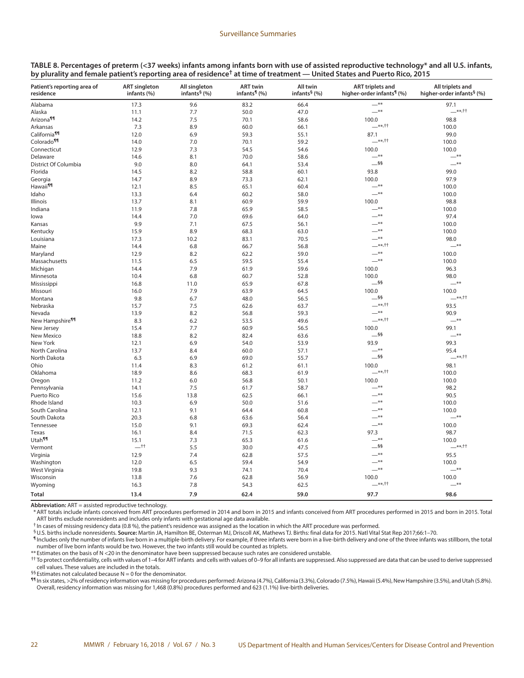| TABLE 8. Percentages of preterm (<37 weeks) infants among infants born with use of assisted reproductive technology* and all U.S. infants, |  |
|--------------------------------------------------------------------------------------------------------------------------------------------|--|
| by plurality and female patient's reporting area of residence <sup>†</sup> at time of treatment — United States and Puerto Rico, 2015      |  |

| Patient's reporting area of<br>residence | <b>ART</b> singleton<br>infants (%) | All singleton<br>infants $§$ (%) | <b>ART twin</b><br>infants $\P$ (%) | All twin<br>infants $9$ (%) | <b>ART</b> triplets and<br>higher-order infants <sup>¶</sup> (%) | All triplets and<br>higher-order infants <sup>§</sup> (%) |
|------------------------------------------|-------------------------------------|----------------------------------|-------------------------------------|-----------------------------|------------------------------------------------------------------|-----------------------------------------------------------|
| Alabama                                  | 17.3                                | 9.6                              | 83.2                                | 66.4                        | $-$ **                                                           | 97.1                                                      |
| Alaska                                   | 11.1                                | 7.7                              | 50.0                                | 47.0                        | $-$ **                                                           | __**,††                                                   |
| Arizona <sup>¶¶</sup>                    | 14.2                                | 7.5                              | 70.1                                | 58.6                        | 100.0                                                            | 98.8                                                      |
| Arkansas                                 | 7.3                                 | 8.9                              | 60.0                                | 66.1                        | $-$ **,††                                                        | 100.0                                                     |
| California <sup>11</sup>                 | 12.0                                | 6.9                              | 59.3                                | 55.1                        | 87.1                                                             | 99.0                                                      |
| Colorado <sup>11</sup>                   | 14.0                                | 7.0                              | 70.1                                | 59.2                        | __**,††                                                          | 100.0                                                     |
| Connecticut                              | 12.9                                | 7.3                              | 54.5                                | 54.6                        | 100.0                                                            | 100.0                                                     |
| Delaware                                 | 14.6                                | 8.1                              | 70.0                                | 58.6                        | $-$ **                                                           | $-$ **                                                    |
| District Of Columbia                     | 9.0                                 | 8.0                              | 64.1                                | 53.4                        | $-$ §§                                                           | $-$ **                                                    |
| Florida                                  | 14.5                                | 8.2                              | 58.8                                | 60.1                        | 93.8                                                             | 99.0                                                      |
| Georgia                                  | 14.7                                | 8.9                              | 73.3                                | 62.1                        | 100.0                                                            | 97.9                                                      |
| Hawaii <sup>¶¶</sup>                     | 12.1                                | 8.5                              | 65.1                                | 60.4                        | $-$ **                                                           | 100.0                                                     |
| Idaho                                    | 13.3                                | 6.4                              | 60.2                                | 58.0                        | $-$ **                                                           | 100.0                                                     |
| Illinois                                 | 13.7                                | 8.1                              | 60.9                                | 59.9                        | 100.0                                                            | 98.8                                                      |
| Indiana                                  | 11.9                                | 7.8                              | 65.9                                | 58.5                        | $-$ **                                                           | 100.0                                                     |
| lowa                                     | 14.4                                | 7.0                              | 69.6                                | 64.0                        | $-$ **                                                           | 97.4                                                      |
| Kansas                                   | 9.9                                 | 7.1                              | 67.5                                | 56.1                        | $-$ **                                                           | 100.0                                                     |
| Kentucky                                 | 15.9                                | 8.9                              | 68.3                                | 63.0                        | $-$ **                                                           | 100.0                                                     |
| Louisiana                                | 17.3                                | 10.2                             | 83.1                                | 70.5                        | $-$ **                                                           | 98.0                                                      |
| Maine                                    | 14.4                                | 6.8                              | 66.7                                | 56.8                        | $-$ **,††                                                        | $-$ **                                                    |
| Maryland                                 | 12.9                                | 8.2                              | 62.2                                | 59.0                        | $-$ **                                                           | 100.0                                                     |
| Massachusetts                            | 11.5                                | 6.5                              | 59.5                                | 55.4                        | $-$ **                                                           | 100.0                                                     |
| Michigan                                 | 14.4                                | 7.9                              | 61.9                                | 59.6                        | 100.0                                                            | 96.3                                                      |
| Minnesota                                | 10.4                                | 6.8                              | 60.7                                | 52.8                        | 100.0                                                            | 98.0                                                      |
| Mississippi                              | 16.8                                | 11.0                             | 65.9                                | 67.8                        | $-$ §§                                                           | $-$ **                                                    |
| Missouri                                 | 16.0                                | 7.9                              | 63.9                                | 64.5                        | 100.0                                                            | 100.0                                                     |
| Montana                                  | 9.8                                 | 6.7                              | 48.0                                | 56.5                        | $-$ §§                                                           | $-$ **,††                                                 |
| Nebraska                                 | 15.7                                | 7.5                              | 62.6                                | 63.7                        | $-***$ , † †                                                     | 93.5                                                      |
| Nevada                                   | 13.9                                | 8.2                              | 56.8                                | 59.3                        | $-$ **                                                           | 90.9                                                      |
| New Hampshire <sup>11</sup>              | 8.3                                 | 6.2                              | 53.5                                | 49.6                        | $-$ **,††                                                        | $-$ **                                                    |
| New Jersey                               | 15.4                                | 7.7                              | 60.9                                | 56.5                        | 100.0                                                            | 99.1                                                      |
| New Mexico                               | 18.8                                | 8.2                              | 82.4                                | 63.6                        | $-$ §§                                                           | $-$ **                                                    |
| New York                                 | 12.1                                | 6.9                              | 54.0                                | 53.9                        | 93.9                                                             | 99.3                                                      |
| North Carolina                           | 13.7                                | 8.4                              | 60.0                                | 57.1                        | $-$ **                                                           | 95.4                                                      |
| North Dakota                             | 6.3                                 | 6.9                              | 69.0                                | 55.7                        | $-$ §§                                                           | $-***$ , ††                                               |
| Ohio                                     | 11.4                                | 8.3                              | 61.2                                | 61.1                        | 100.0                                                            | 98.1                                                      |
| Oklahoma                                 | 18.9                                | 8.6                              | 68.3                                | 61.9                        | __**,††                                                          | 100.0                                                     |
| Oregon                                   | 11.2                                | 6.0                              | 56.8                                | 50.1                        | 100.0                                                            | 100.0                                                     |
| Pennsylvania                             | 14.1                                | 7.5                              | 61.7                                | 58.7                        | $-$ **                                                           | 98.2                                                      |
| Puerto Rico                              | 15.6                                | 13.8                             | 62.5                                | 66.1                        | $-$ **                                                           | 90.5                                                      |
| Rhode Island                             | 10.3                                | 6.9                              | 50.0                                | 51.6                        | $-$ **                                                           | 100.0                                                     |
| South Carolina                           | 12.1                                | 9.1                              | 64.4                                | 60.8                        | $-$ **                                                           | 100.0                                                     |
| South Dakota                             | 20.3                                | 6.8                              | 63.6                                | 56.4                        | $-$ **                                                           | $***$                                                     |
| Tennessee                                | 15.0                                | 9.1                              | 69.3                                | 62.4                        | $-$ **                                                           | 100.0                                                     |
| Texas                                    | 16.1                                | 8.4                              | 71.5                                | 62.3                        | 97.3                                                             | 98.7                                                      |
| Utah <sup>11</sup>                       | 15.1                                | 7.3                              | 65.3                                | 61.6                        | $-$ **                                                           | 100.0                                                     |
| Vermont                                  | $-$ tt                              | 5.5                              | 30.0                                | 47.5                        | $-$ §§                                                           | $-$ **,††                                                 |
| Virginia                                 | 12.9                                | 7.4                              | 62.8                                | 57.5                        | $-$ **                                                           | 95.5                                                      |
| Washington                               | 12.0                                | 6.5                              | 59.4                                | 54.9                        | $-$ **                                                           | 100.0                                                     |
| West Virginia                            | 19.8                                | 9.3                              | 74.1                                | 70.4                        | $-$ **                                                           | $-$ **                                                    |
| Wisconsin                                | 13.8                                | 7.6                              | 62.8                                | 56.9                        | 100.0                                                            | 100.0                                                     |
| Wyoming                                  | 16.3                                | 7.8                              | 54.3                                | 62.5                        | __**,††                                                          | —**                                                       |
| <b>Total</b>                             | 13.4                                | 7.9                              | 62.4                                | 59.0                        | 97.7                                                             | 98.6                                                      |

**Abbreviation:** ART = assisted reproductive technology.

\*ART totals include infants conceived from ART procedures performed in 2014 and born in 2015 and infants conceived from ART procedures performed in 2015 and born in 2015. Total ART births exclude nonresidents and includes only infants with gestational age data available.

† In cases of missing residency data (0.8 %), the patient's residence was assigned as the location in which the ART procedure was performed.

§U.S. births include nonresidents. **Source:** Martin JA, Hamilton BE, Osterman MJ, Driscoll AK, Mathews TJ. Births: final data for 2015. Natl Vital Stat Rep 2017;66:1–70.

¶ Includes only the number of infants live born in a multiple-birth delivery. For example, if three infants were born in a live-birth delivery and one of the three infants was stillborn, the total number of live born infants would be two. However, the two infants still would be counted as triplets.

\*\* Estimates on the basis of N <20 in the denominator have been suppressed because such rates are considered unstable.

†† To protect confidentiality, cells with values of 1–4 for ART infants and cells with values of 0–9 for all infants are suppressed. Also suppressed are data that can be used to derive suppressed cell values. These values are included in the totals.

 $§$ § Estimates not calculated because N = 0 for the denominator.

¶¶ In six states, >2% of residency information was missing for procedures performed: Arizona (4.7%), California (3.3%), Colorado (7.5%), Hawaii (5.4%), New Hampshire (3.5%), and Utah (5.8%). Overall, residency information was missing for 1,468 (0.8%) procedures performed and 623 (1.1%) live-birth deliveries.